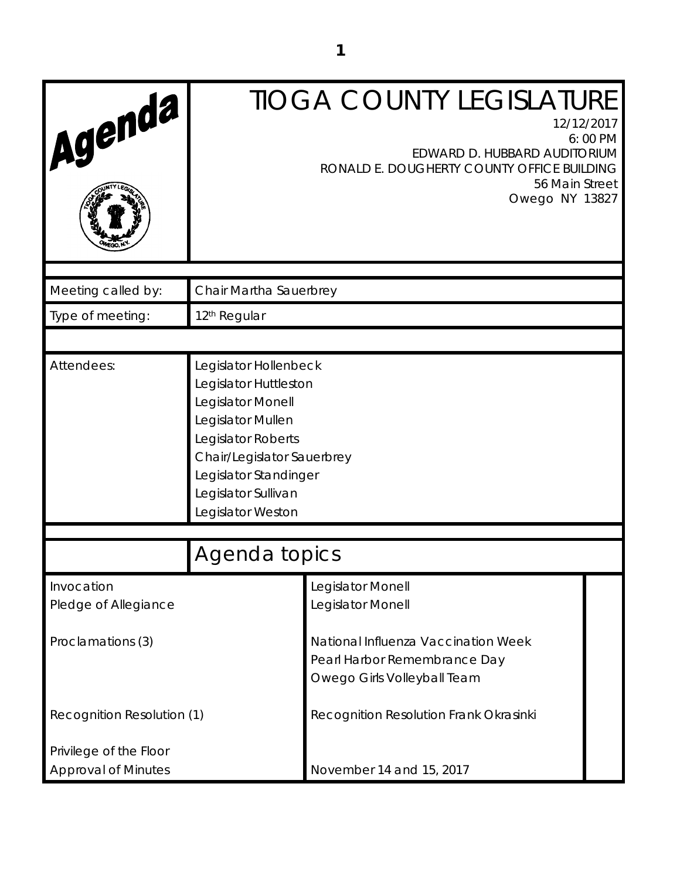| Agenda                             |                                                                                                                                                                                                                   | <b>TIOGA COUNTY LEGISLATURE</b><br>12/12/2017<br>EDWARD D. HUBBARD AUDITORIUM<br>RONALD E. DOUGHERTY COUNTY OFFICE BUILDING | 6:00 PM |
|------------------------------------|-------------------------------------------------------------------------------------------------------------------------------------------------------------------------------------------------------------------|-----------------------------------------------------------------------------------------------------------------------------|---------|
|                                    |                                                                                                                                                                                                                   | 56 Main Street<br>Owego NY 13827                                                                                            |         |
| Meeting called by:                 | Chair Martha Sauerbrey                                                                                                                                                                                            |                                                                                                                             |         |
| Type of meeting:                   | 12 <sup>th</sup> Regular                                                                                                                                                                                          |                                                                                                                             |         |
|                                    |                                                                                                                                                                                                                   |                                                                                                                             |         |
| Attendees:                         | Legislator Hollenbeck<br>Legislator Huttleston<br>Legislator Monell<br>Legislator Mullen<br>Legislator Roberts<br>Chair/Legislator Sauerbrey<br>Legislator Standinger<br>Legislator Sullivan<br>Legislator Weston |                                                                                                                             |         |
| Agenda topics                      |                                                                                                                                                                                                                   |                                                                                                                             |         |
| Invocation<br>Pledge of Allegiance |                                                                                                                                                                                                                   | Legislator Monell<br>Legislator Monell                                                                                      |         |
| Proclamations (3)                  |                                                                                                                                                                                                                   | National Influenza Vaccination Week<br>Pearl Harbor Remembrance Day<br>Owego Girls Volleyball Team                          |         |
| Recognition Resolution (1)         |                                                                                                                                                                                                                   | Recognition Resolution Frank Okrasinki                                                                                      |         |
| Privilege of the Floor             |                                                                                                                                                                                                                   |                                                                                                                             |         |
| <b>Approval of Minutes</b>         |                                                                                                                                                                                                                   | November 14 and 15, 2017                                                                                                    |         |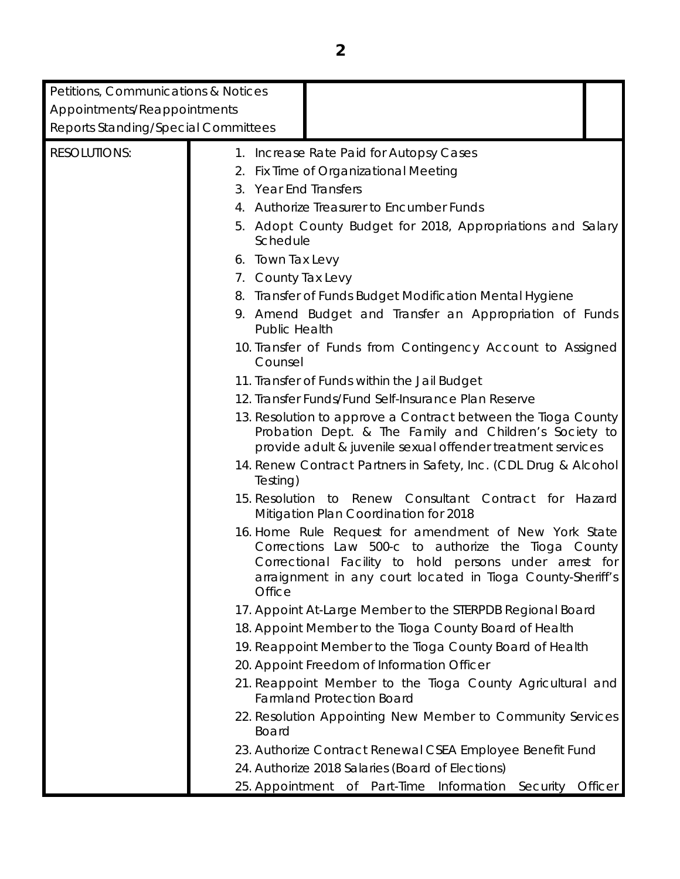| Petitions, Communications & Notices<br>Appointments/Reappointments<br>Reports Standing/Special Committees |                                                                                                                                      |                                                                                                                                                                                                                                                                                                                                                                                                                                                                                                                                                                                                                                                                                                                                                                                                                                                                                                                                                                                                                                                                                                                                                                                                                     |         |
|-----------------------------------------------------------------------------------------------------------|--------------------------------------------------------------------------------------------------------------------------------------|---------------------------------------------------------------------------------------------------------------------------------------------------------------------------------------------------------------------------------------------------------------------------------------------------------------------------------------------------------------------------------------------------------------------------------------------------------------------------------------------------------------------------------------------------------------------------------------------------------------------------------------------------------------------------------------------------------------------------------------------------------------------------------------------------------------------------------------------------------------------------------------------------------------------------------------------------------------------------------------------------------------------------------------------------------------------------------------------------------------------------------------------------------------------------------------------------------------------|---------|
| <b>RESOLUTIONS:</b>                                                                                       | 3. Year End Transfers<br>Schedule<br>6. Town Tax Levy<br>7. County Tax Levy<br><b>Public Health</b><br>Counsel<br>Testing)<br>Office | 1. Increase Rate Paid for Autopsy Cases<br>2. Fix Time of Organizational Meeting<br>4. Authorize Treasurer to Encumber Funds<br>5. Adopt County Budget for 2018, Appropriations and Salary<br>8. Transfer of Funds Budget Modification Mental Hygiene<br>9. Amend Budget and Transfer an Appropriation of Funds<br>10. Transfer of Funds from Contingency Account to Assigned<br>11. Transfer of Funds within the Jail Budget<br>12. Transfer Funds/Fund Self-Insurance Plan Reserve<br>13. Resolution to approve a Contract between the Tioga County<br>Probation Dept. & The Family and Children's Society to<br>provide adult & juvenile sexual offender treatment services<br>14. Renew Contract Partners in Safety, Inc. (CDL Drug & Alcohol<br>15. Resolution to Renew Consultant Contract for Hazard<br>Mitigation Plan Coordination for 2018<br>16. Home Rule Request for amendment of New York State<br>Corrections Law 500-c to authorize the Tioga County<br>Correctional Facility to hold persons under arrest for<br>arraignment in any court located in Tioga County-Sheriff's<br>17. Appoint At-Large Member to the STERPDB Regional Board<br>18. Appoint Member to the Tioga County Board of Health |         |
|                                                                                                           | <b>Board</b>                                                                                                                         | 19. Reappoint Member to the Tioga County Board of Health<br>20. Appoint Freedom of Information Officer<br>21. Reappoint Member to the Tioga County Agricultural and<br><b>Farmland Protection Board</b><br>22. Resolution Appointing New Member to Community Services<br>23. Authorize Contract Renewal CSEA Employee Benefit Fund                                                                                                                                                                                                                                                                                                                                                                                                                                                                                                                                                                                                                                                                                                                                                                                                                                                                                  |         |
|                                                                                                           |                                                                                                                                      | 24. Authorize 2018 Salaries (Board of Elections)<br>25. Appointment of Part-Time Information Security                                                                                                                                                                                                                                                                                                                                                                                                                                                                                                                                                                                                                                                                                                                                                                                                                                                                                                                                                                                                                                                                                                               | Officer |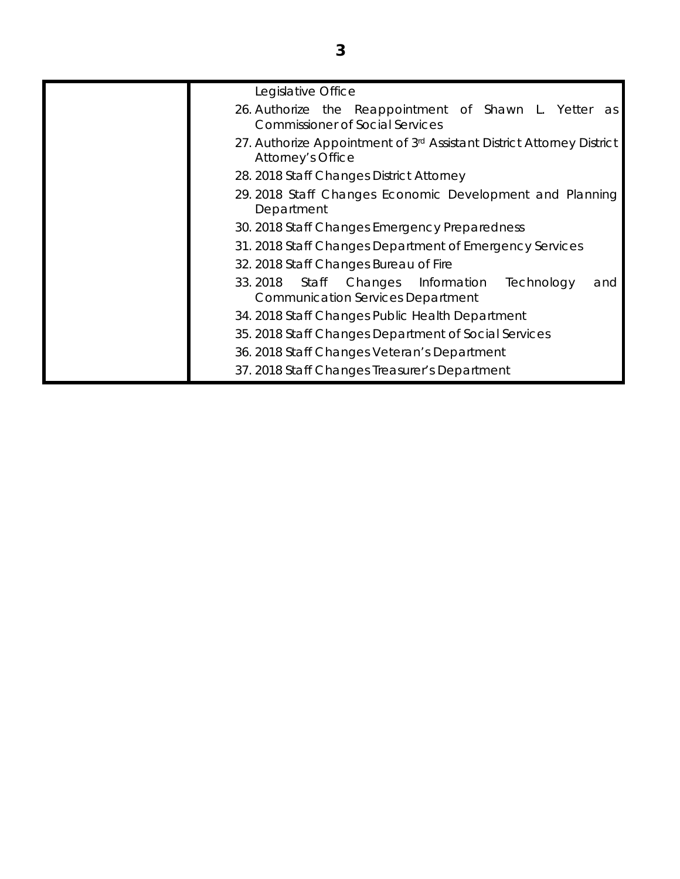| Legislative Office                                                                                          |
|-------------------------------------------------------------------------------------------------------------|
| 26. Authorize the Reappointment of Shawn L. Yetter as<br><b>Commissioner of Social Services</b>             |
| 27. Authorize Appointment of 3rd Assistant District Attorney District<br><b>Attorney's Office</b>           |
| 28. 2018 Staff Changes District Attorney                                                                    |
| 29.2018 Staff Changes Economic Development and Planning<br>Department                                       |
| 30. 2018 Staff Changes Emergency Preparedness                                                               |
| 31. 2018 Staff Changes Department of Emergency Services                                                     |
| 32. 2018 Staff Changes Bureau of Fire                                                                       |
| 33.2018<br>Staff<br>Changes<br>Information<br>Technology<br>and<br><b>Communication Services Department</b> |
| 34. 2018 Staff Changes Public Health Department                                                             |
| 35. 2018 Staff Changes Department of Social Services                                                        |
| 36. 2018 Staff Changes Veteran's Department                                                                 |
| 37. 2018 Staff Changes Treasurer's Department                                                               |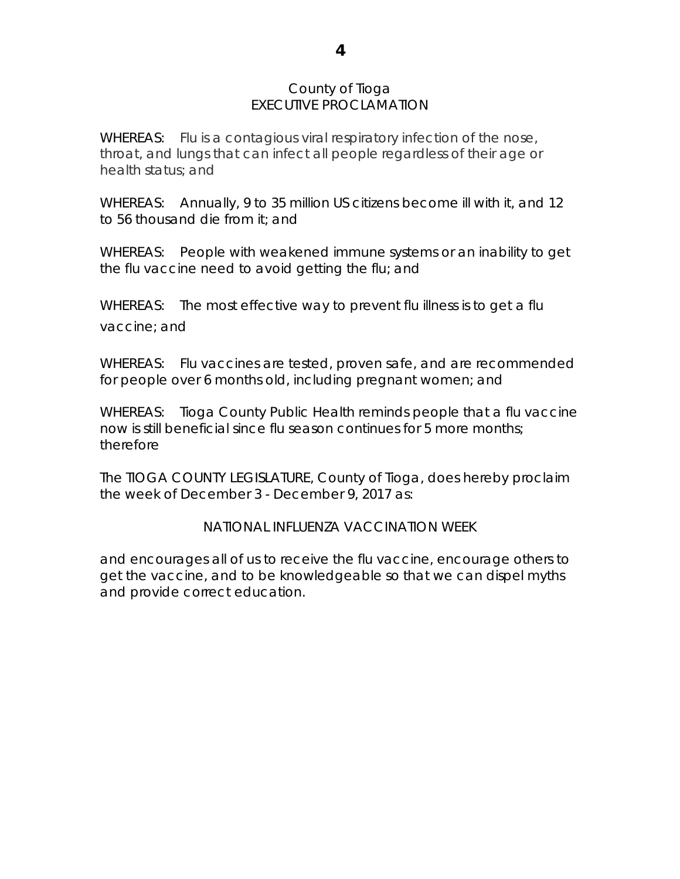## County of Tioga EXECUTIVE PROCLAMATION

WHEREAS: Flu is a contagious viral respiratory infection of the nose, throat, and lungs that can infect all people regardless of their age or health status; and

WHEREAS: Annually, 9 to 35 million US citizens become ill with it, and 12 to 56 thousand die from it; and

WHEREAS: People with weakened immune systems or an inability to get the flu vaccine need to avoid getting the flu; and

WHEREAS: The most effective way to prevent flu illness is to get a flu vaccine; and

WHEREAS: Flu vaccines are tested, proven safe, and are recommended for people over 6 months old, including pregnant women; and

WHEREAS: Tioga County Public Health reminds people that a flu vaccine now is still beneficial since flu season continues for 5 more months; therefore

The TIOGA COUNTY LEGISLATURE, County of Tioga, does hereby proclaim the week of December 3 - December 9, 2017 as:

# NATIONAL INFLUENZA VACCINATION WEEK

and encourages all of us to receive the flu vaccine, encourage others to get the vaccine, and to be knowledgeable so that we can dispel myths and provide correct education.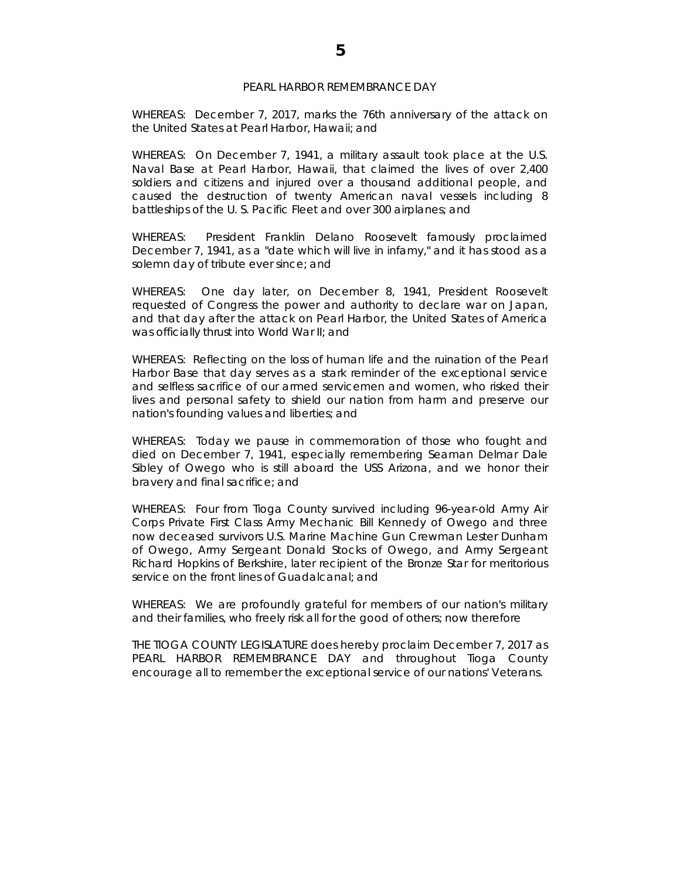#### PEARL HARBOR REMEMBRANCE DAY

WHEREAS: December 7, 2017, marks the 76th anniversary of the attack on the United States at Pearl Harbor, Hawaii; and

WHEREAS: On December 7, 1941, a military assault took place at the U.S. Naval Base at Pearl Harbor, Hawaii, that claimed the lives of over 2,400 soldiers and citizens and injured over a thousand additional people, and caused the destruction of twenty American naval vessels including 8 battleships of the U. S. Pacific Fleet and over 300 airplanes; and

WHEREAS: President Franklin Delano Roosevelt famously proclaimed December 7, 1941, as a "date which will live in infamy," and it has stood as a solemn day of tribute ever since; and

WHEREAS: One day later, on December 8, 1941, President Roosevelt requested of Congress the power and authority to declare war on Japan, and that day after the attack on Pearl Harbor, the United States of America was officially thrust into World War II; and

WHEREAS: Reflecting on the loss of human life and the ruination of the Pearl Harbor Base that day serves as a stark reminder of the exceptional service and selfless sacrifice of our armed servicemen and women, who risked their lives and personal safety to shield our nation from harm and preserve our nation's founding values and liberties; and

WHEREAS: Today we pause in commemoration of those who fought and died on December 7, 1941, especially remembering Seaman Delmar Dale Sibley of Owego who is still aboard the USS Arizona, and we honor their bravery and final sacrifice; and

WHEREAS: Four from Tioga County survived including 96-year-old Army Air Corps Private First Class Army Mechanic Bill Kennedy of Owego and three now deceased survivors U.S. Marine Machine Gun Crewman Lester Dunham of Owego, Army Sergeant Donald Stocks of Owego, and Army Sergeant Richard Hopkins of Berkshire, later recipient of the Bronze Star for meritorious service on the front lines of Guadalcanal; and

WHEREAS: We are profoundly grateful for members of our nation's military and their families, who freely risk all for the good of others; now therefore

THE TIOGA COUNTY LEGISLATURE does hereby proclaim December 7, 2017 as PEARL HARBOR REMEMBRANCE DAY and throughout Tioga County encourage all to remember the exceptional service of our nations' Veterans.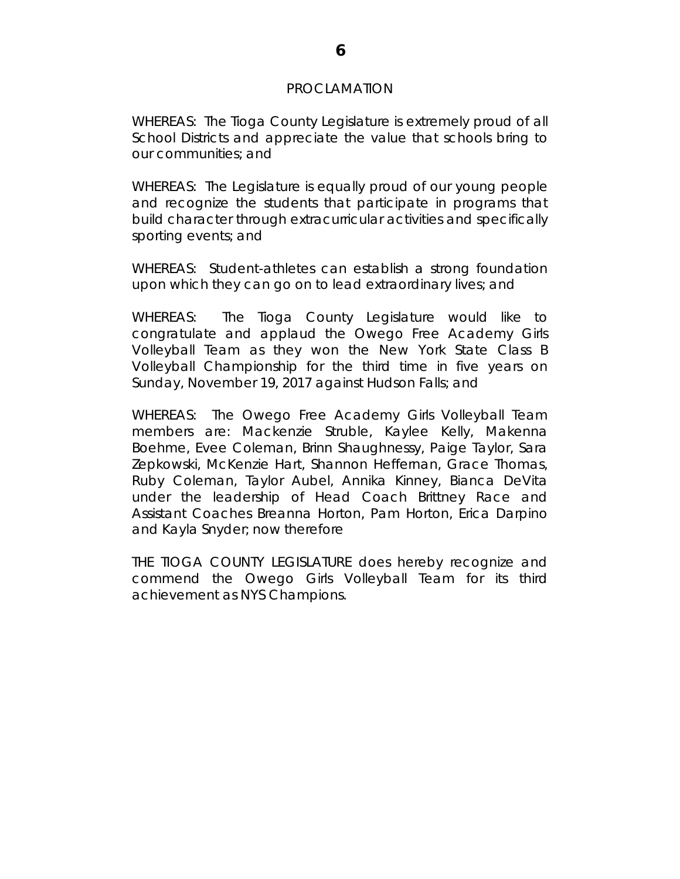#### PROCLAMATION

WHEREAS: The Tioga County Legislature is extremely proud of all School Districts and appreciate the value that schools bring to our communities; and

WHEREAS: The Legislature is equally proud of our young people and recognize the students that participate in programs that build character through extracurricular activities and specifically sporting events; and

WHEREAS: Student-athletes can establish a strong foundation upon which they can go on to lead extraordinary lives; and

WHEREAS: The Tioga County Legislature would like to congratulate and applaud the Owego Free Academy Girls Volleyball Team as they won the New York State Class B Volleyball Championship for the third time in five years on Sunday, November 19, 2017 against Hudson Falls; and

WHEREAS: The Owego Free Academy Girls Volleyball Team members are: Mackenzie Struble, Kaylee Kelly, Makenna Boehme, Evee Coleman, Brinn Shaughnessy, Paige Taylor, Sara Zepkowski, McKenzie Hart, Shannon Heffernan, Grace Thomas, Ruby Coleman, Taylor Aubel, Annika Kinney, Bianca DeVita under the leadership of Head Coach Brittney Race and Assistant Coaches Breanna Horton, Pam Horton, Erica Darpino and Kayla Snyder; now therefore

THE TIOGA COUNTY LEGISLATURE does hereby recognize and commend the Owego Girls Volleyball Team for its third achievement as NYS Champions.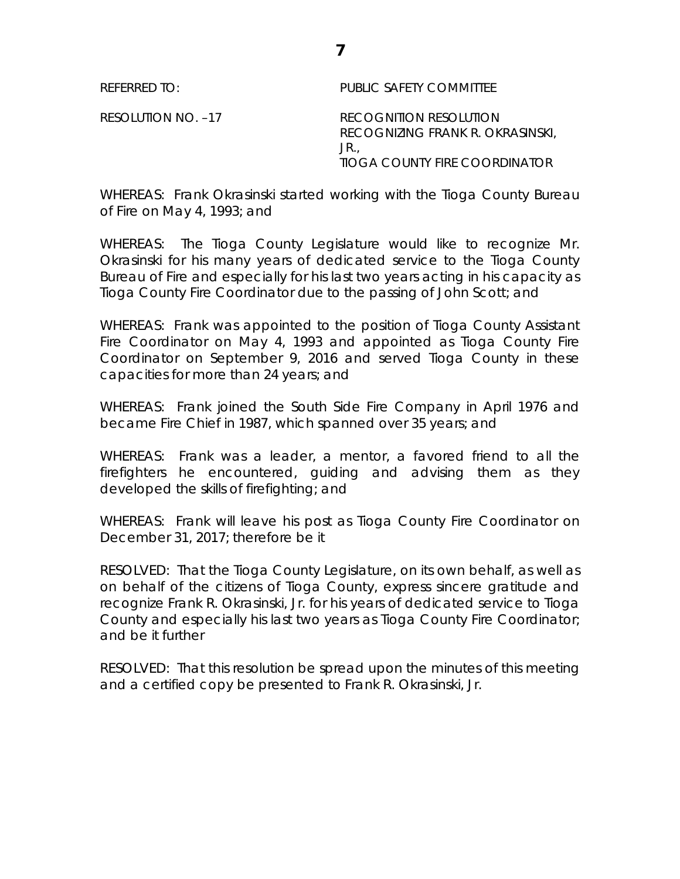REFERRED TO: PUBLIC SAFETY COMMITTEE

RESOLUTION NO. –17 RECOGNITION RESOLUTION RECOGNIZING FRANK R. OKRASINSKI, JR., TIOGA COUNTY FIRE COORDINATOR

WHEREAS: Frank Okrasinski started working with the Tioga County Bureau of Fire on May 4, 1993; and

WHEREAS: The Tioga County Legislature would like to recognize Mr. Okrasinski for his many years of dedicated service to the Tioga County Bureau of Fire and especially for his last two years acting in his capacity as Tioga County Fire Coordinator due to the passing of John Scott; and

WHEREAS: Frank was appointed to the position of Tioga County Assistant Fire Coordinator on May 4, 1993 and appointed as Tioga County Fire Coordinator on September 9, 2016 and served Tioga County in these capacities for more than 24 years; and

WHEREAS: Frank joined the South Side Fire Company in April 1976 and became Fire Chief in 1987, which spanned over 35 years; and

WHEREAS: Frank was a leader, a mentor, a favored friend to all the firefighters he encountered, guiding and advising them as they developed the skills of firefighting; and

WHEREAS: Frank will leave his post as Tioga County Fire Coordinator on December 31, 2017; therefore be it

RESOLVED: That the Tioga County Legislature, on its own behalf, as well as on behalf of the citizens of Tioga County, express sincere gratitude and recognize Frank R. Okrasinski, Jr. for his years of dedicated service to Tioga County and especially his last two years as Tioga County Fire Coordinator; and be it further

RESOLVED: That this resolution be spread upon the minutes of this meeting and a certified copy be presented to Frank R. Okrasinski, Jr.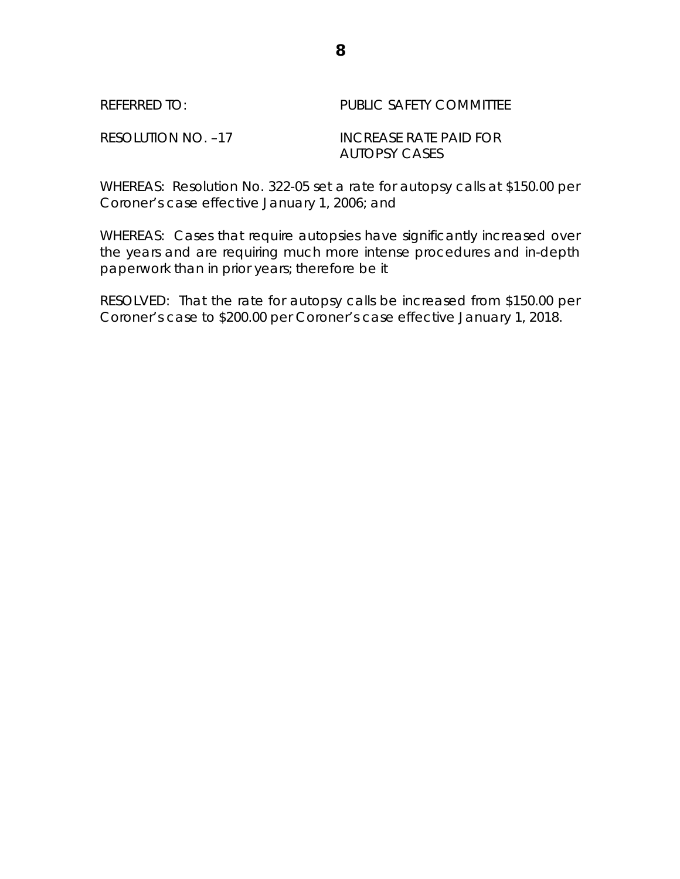| REFERRED TO:       | PUBLIC SAFETY COMMITTEE |
|--------------------|-------------------------|
| RESOLUTION NO. -17 | INCREASE RATE PAID FOR  |
|                    | AUTOPSY CASES           |

WHEREAS: Resolution No. 322-05 set a rate for autopsy calls at \$150.00 per Coroner's case effective January 1, 2006; and

WHEREAS: Cases that require autopsies have significantly increased over the years and are requiring much more intense procedures and in-depth paperwork than in prior years; therefore be it

RESOLVED: That the rate for autopsy calls be increased from \$150.00 per Coroner's case to \$200.00 per Coroner's case effective January 1, 2018.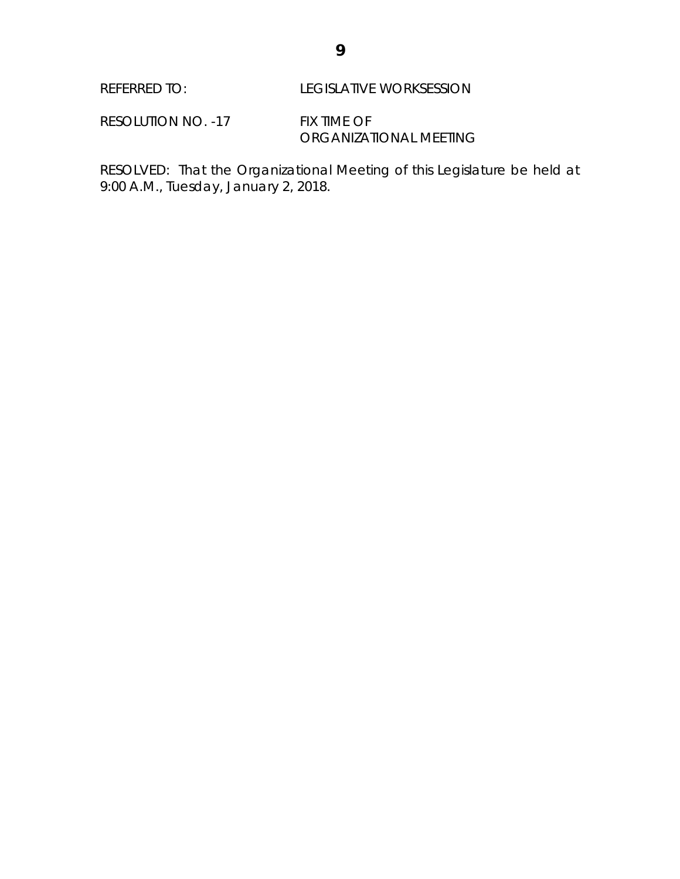RESOLUTION NO. -17 FIX TIME OF ORGANIZATIONAL MEETING

RESOLVED: That the Organizational Meeting of this Legislature be held at 9:00 A.M., Tuesday, January 2, 2018.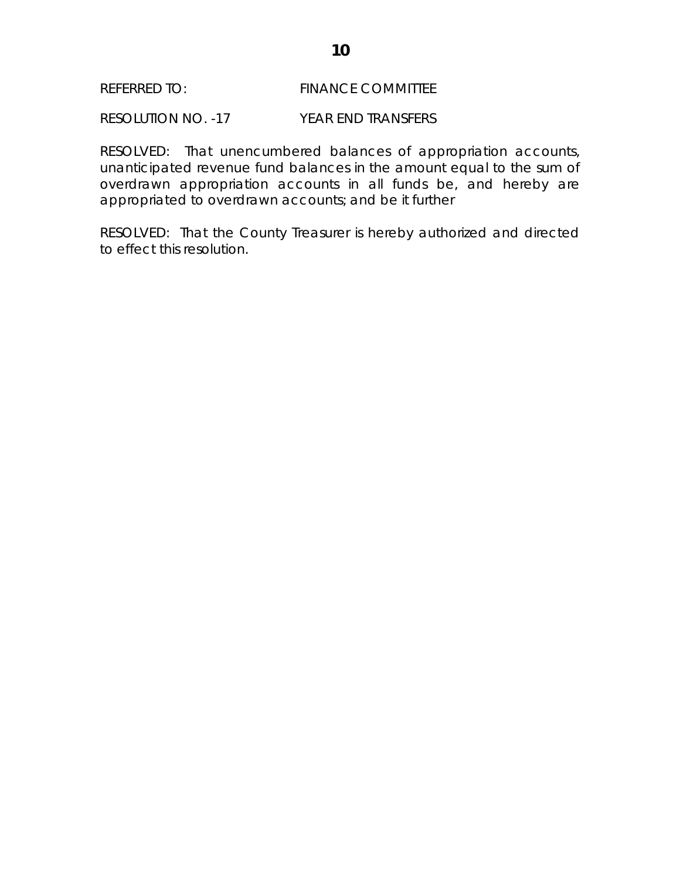### REFERRED TO: FINANCE COMMITTEE

RESOLUTION NO. -17 YEAR END TRANSFERS

RESOLVED: That unencumbered balances of appropriation accounts, unanticipated revenue fund balances in the amount equal to the sum of overdrawn appropriation accounts in all funds be, and hereby are appropriated to overdrawn accounts; and be it further

RESOLVED: That the County Treasurer is hereby authorized and directed to effect this resolution.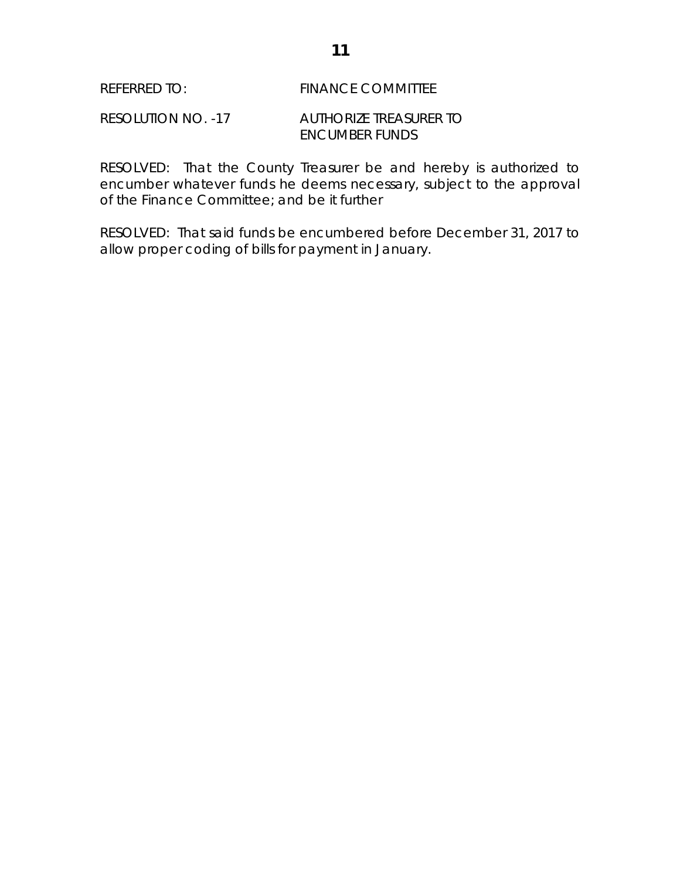#### REFERRED TO: FINANCE COMMITTEE

### RESOLUTION NO. -17 AUTHORIZE TREASURER TO ENCUMBER FUNDS

RESOLVED: That the County Treasurer be and hereby is authorized to encumber whatever funds he deems necessary, subject to the approval of the Finance Committee; and be it further

RESOLVED: That said funds be encumbered before December 31, 2017 to allow proper coding of bills for payment in January.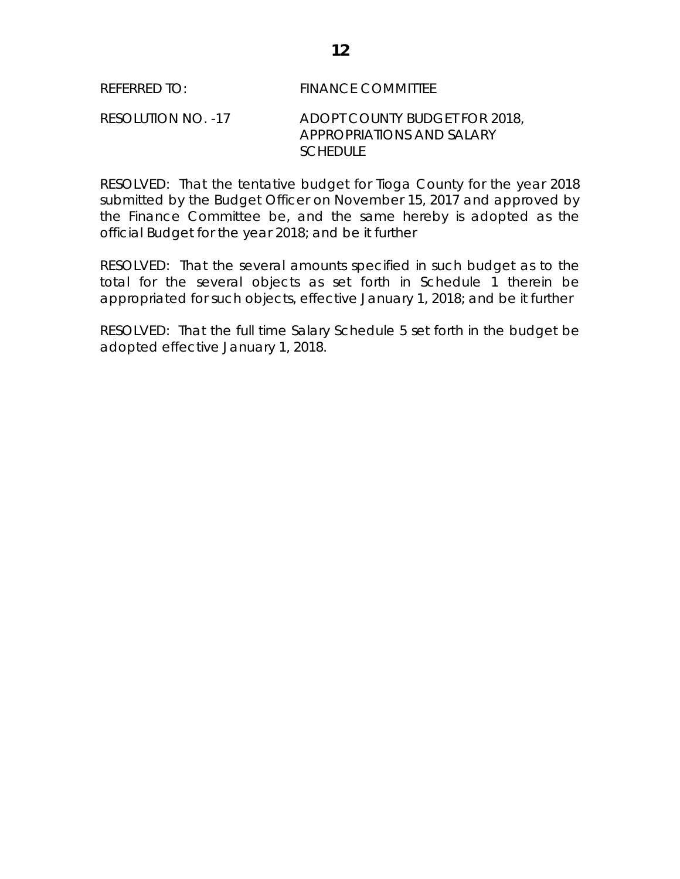RESOLVED: That the tentative budget for Tioga County for the year 2018 submitted by the Budget Officer on November 15, 2017 and approved by the Finance Committee be, and the same hereby is adopted as the official Budget for the year 2018; and be it further

RESOLVED: That the several amounts specified in such budget as to the total for the several objects as set forth in Schedule 1 therein be appropriated for such objects, effective January 1, 2018; and be it further

RESOLVED: That the full time Salary Schedule 5 set forth in the budget be adopted effective January 1, 2018.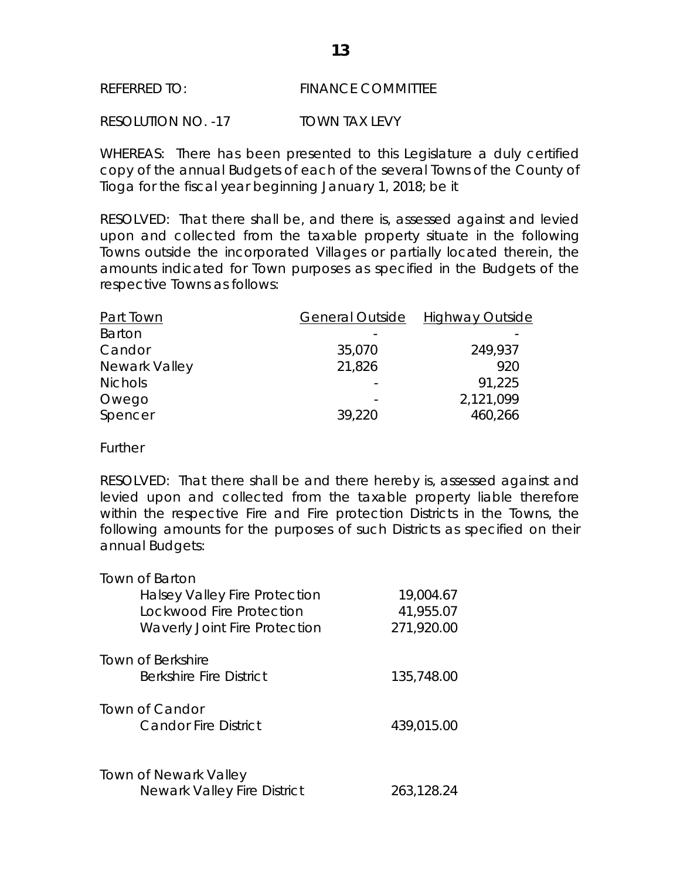#### REFERRED TO: FINANCE COMMITTEE

RESOLUTION NO. -17 TOWN TAX LEVY

WHEREAS: There has been presented to this Legislature a duly certified copy of the annual Budgets of each of the several Towns of the County of Tioga for the fiscal year beginning January 1, 2018; be it

RESOLVED: That there shall be, and there is, assessed against and levied upon and collected from the taxable property situate in the following Towns outside the incorporated Villages or partially located therein, the amounts indicated for Town purposes as specified in the Budgets of the respective Towns as follows:

| <b>Part Town</b> | <b>General Outside</b> | <b>Highway Outside</b> |
|------------------|------------------------|------------------------|
| Barton           |                        |                        |
| Candor           | 35,070                 | 249,937                |
| Newark Valley    | 21,826                 | 920                    |
| <b>Nichols</b>   |                        | 91,225                 |
| Owego            |                        | 2,121,099              |
| Spencer          | 39,220                 | 460,266                |
|                  |                        |                        |

**Further** 

RESOLVED: That there shall be and there hereby is, assessed against and levied upon and collected from the taxable property liable therefore within the respective Fire and Fire protection Districts in the Towns, the following amounts for the purposes of such Districts as specified on their annual Budgets:

| <b>Town of Barton</b>                |            |
|--------------------------------------|------------|
| <b>Halsey Valley Fire Protection</b> | 19,004.67  |
| Lockwood Fire Protection             | 41,955.07  |
| <b>Waverly Joint Fire Protection</b> | 271,920.00 |
| Town of Berkshire                    |            |
| <b>Berkshire Fire District</b>       | 135,748.00 |
| Town of Candor                       |            |
| <b>Candor Fire District</b>          | 439,015.00 |
|                                      |            |
| Town of Newark Valley                |            |
| <b>Newark Valley Fire District</b>   | 263,128.24 |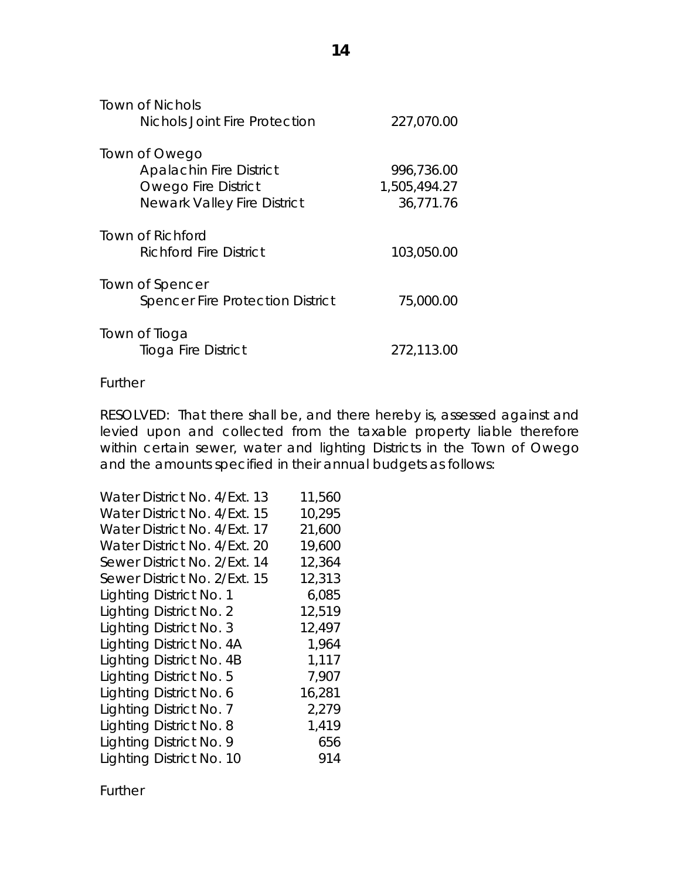| Town of Nichols                         |              |
|-----------------------------------------|--------------|
| <b>Nichols Joint Fire Protection</b>    | 227,070.00   |
| Town of Owego                           |              |
| <b>Apalachin Fire District</b>          | 996,736.00   |
| <b>Owego Fire District</b>              | 1,505,494.27 |
| <b>Newark Valley Fire District</b>      | 36,771.76    |
| Town of Richford                        |              |
| Richford Fire District                  | 103,050.00   |
| Town of Spencer                         |              |
| <b>Spencer Fire Protection District</b> | 75,000.00    |
| Town of Tioga                           |              |
| Tioga Fire District                     | 272,113.00   |

#### Further

RESOLVED: That there shall be, and there hereby is, assessed against and levied upon and collected from the taxable property liable therefore within certain sewer, water and lighting Districts in the Town of Owego and the amounts specified in their annual budgets as follows:

Further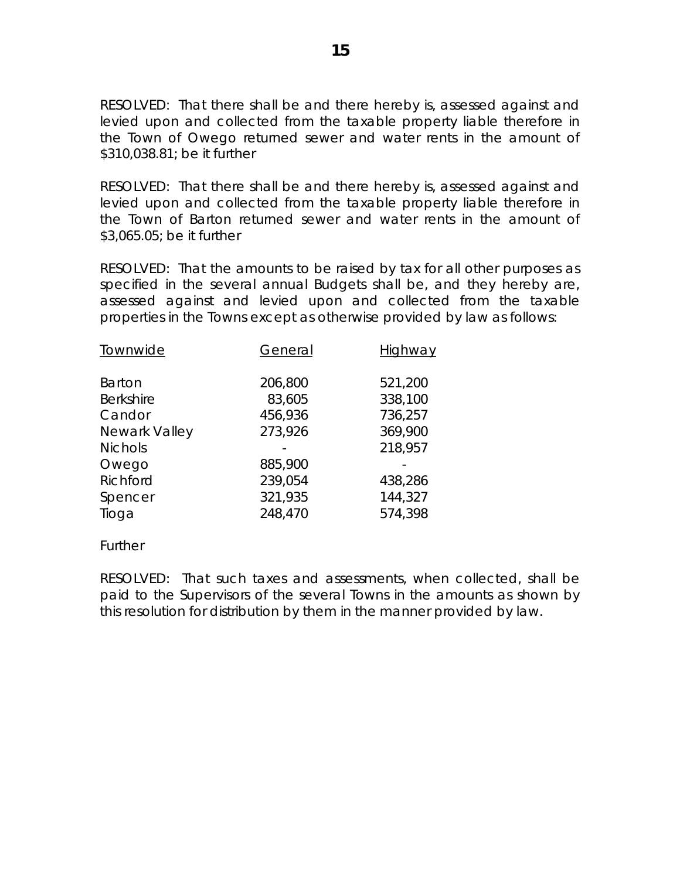RESOLVED: That there shall be and there hereby is, assessed against and levied upon and collected from the taxable property liable therefore in the Town of Owego returned sewer and water rents in the amount of \$310,038.81; be it further

RESOLVED: That there shall be and there hereby is, assessed against and levied upon and collected from the taxable property liable therefore in the Town of Barton returned sewer and water rents in the amount of \$3,065.05; be it further

RESOLVED: That the amounts to be raised by tax for all other purposes as specified in the several annual Budgets shall be, and they hereby are, assessed against and levied upon and collected from the taxable properties in the Towns except as otherwise provided by law as follows:

| Townwide         | General | Highway |
|------------------|---------|---------|
| <b>Barton</b>    | 206,800 | 521,200 |
| <b>Berkshire</b> | 83,605  | 338,100 |
| Candor           | 456,936 | 736,257 |
| Newark Valley    | 273,926 | 369,900 |
| <b>Nichols</b>   |         | 218,957 |
| Owego            | 885,900 |         |
| Richford         | 239,054 | 438,286 |
| Spencer          | 321,935 | 144,327 |
| Tioga            | 248,470 | 574,398 |
|                  |         |         |

**Further** 

RESOLVED: That such taxes and assessments, when collected, shall be paid to the Supervisors of the several Towns in the amounts as shown by this resolution for distribution by them in the manner provided by law.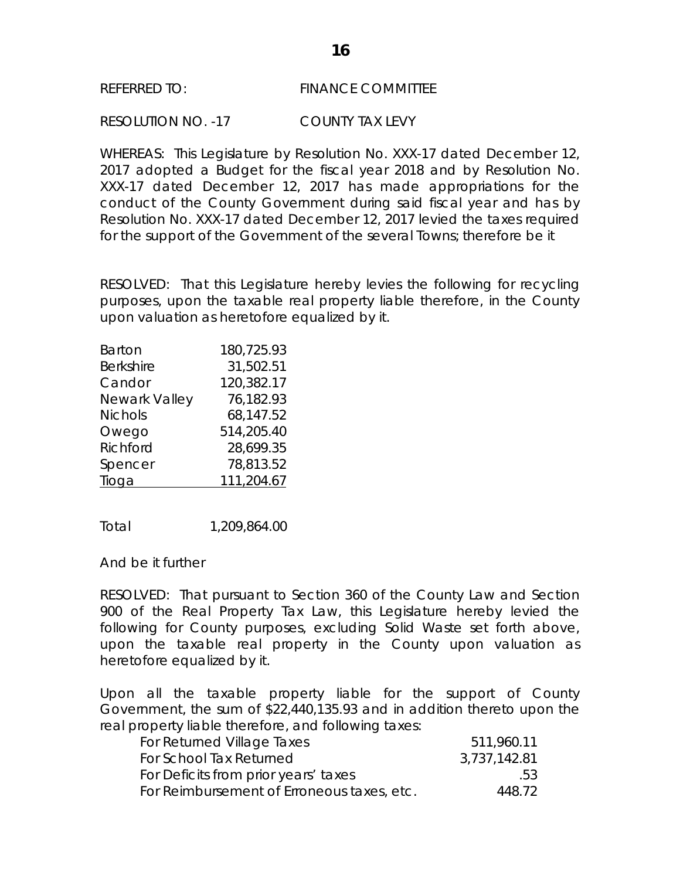### REFERRED TO: FINANCE COMMITTEE

RESOLUTION NO. -17 COUNTY TAX LEVY

WHEREAS: This Legislature by Resolution No. XXX-17 dated December 12, 2017 adopted a Budget for the fiscal year 2018 and by Resolution No. XXX-17 dated December 12, 2017 has made appropriations for the conduct of the County Government during said fiscal year and has by Resolution No. XXX-17 dated December 12, 2017 levied the taxes required for the support of the Government of the several Towns; therefore be it

RESOLVED: That this Legislature hereby levies the following for recycling purposes, upon the taxable real property liable therefore, in the County upon valuation as heretofore equalized by it.

| Barton           | 180,725.93 |
|------------------|------------|
| <b>Berkshire</b> | 31,502.51  |
| Candor           | 120,382.17 |
| Newark Valley    | 76,182.93  |
| <b>Nichols</b>   | 68,147.52  |
| Owego            | 514,205.40 |
| Richford         | 28,699.35  |
| Spencer          | 78,813.52  |
| Tioga            | 111,204.67 |

Total 1,209,864.00

And be it further

RESOLVED: That pursuant to Section 360 of the County Law and Section 900 of the Real Property Tax Law, this Legislature hereby levied the following for County purposes, excluding Solid Waste set forth above, upon the taxable real property in the County upon valuation as heretofore equalized by it.

Upon all the taxable property liable for the support of County Government, the sum of \$22,440,135.93 and in addition thereto upon the real property liable therefore, and following taxes:

| For Returned Village Taxes                 | 511,960.11   |
|--------------------------------------------|--------------|
| For School Tax Returned                    | 3,737,142.81 |
| For Deficits from prior years' taxes       | .53          |
| For Reimbursement of Erroneous taxes, etc. | 448.72       |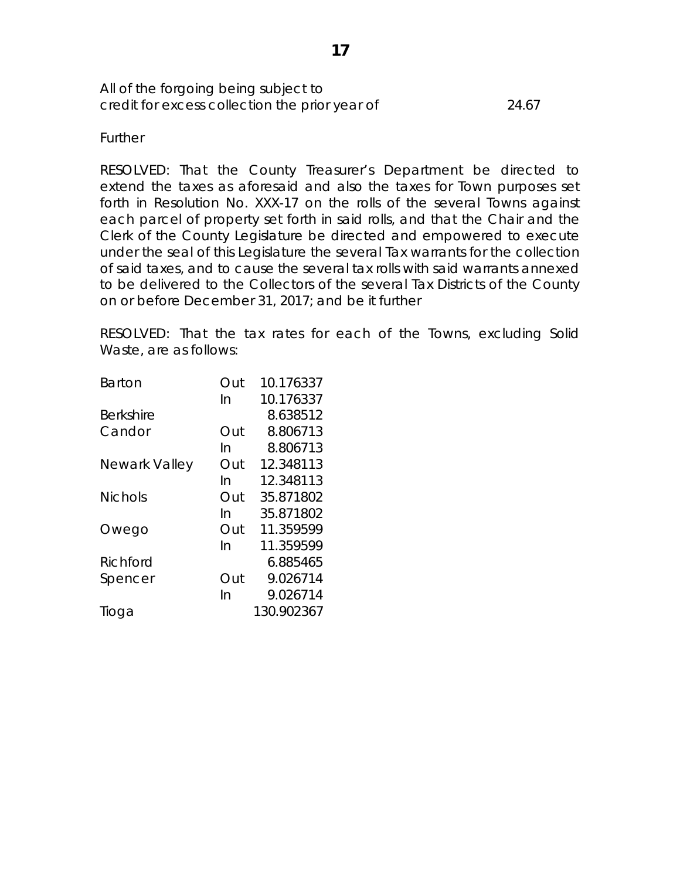All of the forgoing being subject to credit for excess collection the prior year of 24.67

**Further** 

RESOLVED: That the County Treasurer's Department be directed to extend the taxes as aforesaid and also the taxes for Town purposes set forth in Resolution No. XXX-17 on the rolls of the several Towns against each parcel of property set forth in said rolls, and that the Chair and the Clerk of the County Legislature be directed and empowered to execute under the seal of this Legislature the several Tax warrants for the collection of said taxes, and to cause the several tax rolls with said warrants annexed to be delivered to the Collectors of the several Tax Districts of the County on or before December 31, 2017; and be it further

RESOLVED: That the tax rates for each of the Towns, excluding Solid Waste, are as follows:

| Barton         | Out | 10.176337  |
|----------------|-----|------------|
|                | In  | 10.176337  |
| Berkshire      |     | 8.638512   |
| Candor         | Out | 8.806713   |
|                | In  | 8.806713   |
| Newark Valley  | Out | 12.348113  |
|                | In  | 12.348113  |
| <b>Nichols</b> | Out | 35.871802  |
|                | In  | 35.871802  |
| Owego          | Out | 11.359599  |
|                | In  | 11.359599  |
| Richford       |     | 6.885465   |
| Spencer        | Out | 9.026714   |
|                | In  | 9.026714   |
| lioga          |     | 130.902367 |
|                |     |            |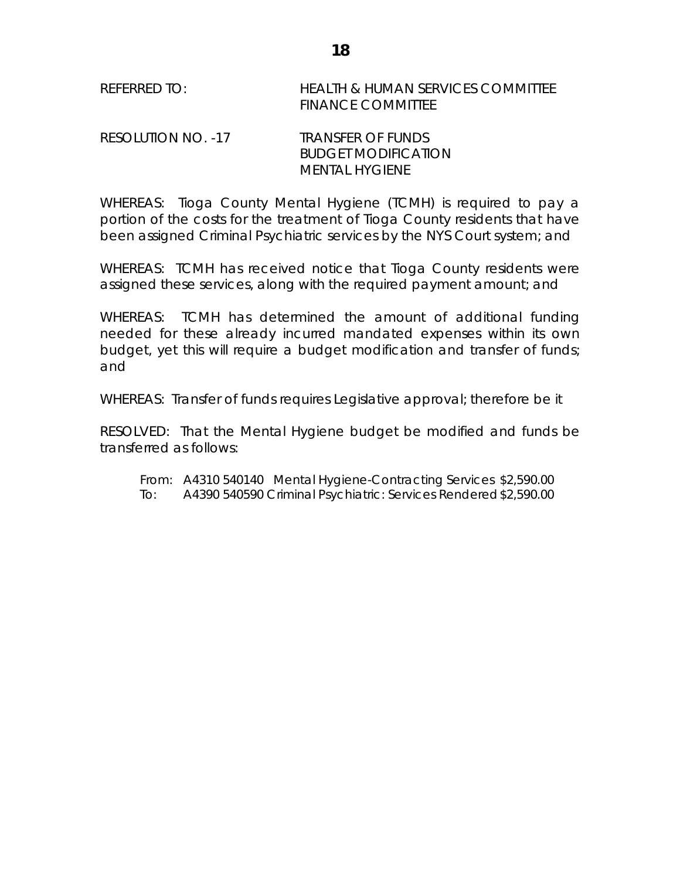| REFERRED TO: | <b>HEALTH &amp; HUMAN SERVICES COMMITTEE</b> |
|--------------|----------------------------------------------|
|              | <b>FINANCE COMMITTEE</b>                     |

## RESOLUTION NO. -17 TRANSFER OF FUNDS BUDGET MODIFICATION MENTAL HYGIENE

WHEREAS: Tioga County Mental Hygiene (TCMH) is required to pay a portion of the costs for the treatment of Tioga County residents that have been assigned Criminal Psychiatric services by the NYS Court system; and

WHEREAS: TCMH has received notice that Tioga County residents were assigned these services, along with the required payment amount; and

WHEREAS: TCMH has determined the amount of additional funding needed for these already incurred mandated expenses within its own budget, yet this will require a budget modification and transfer of funds; and

WHEREAS: Transfer of funds requires Legislative approval; therefore be it

RESOLVED: That the Mental Hygiene budget be modified and funds be transferred as follows:

From: A4310 540140 Mental Hygiene-Contracting Services \$2,590.00 To: A4390 540590 Criminal Psychiatric: Services Rendered\$2,590.00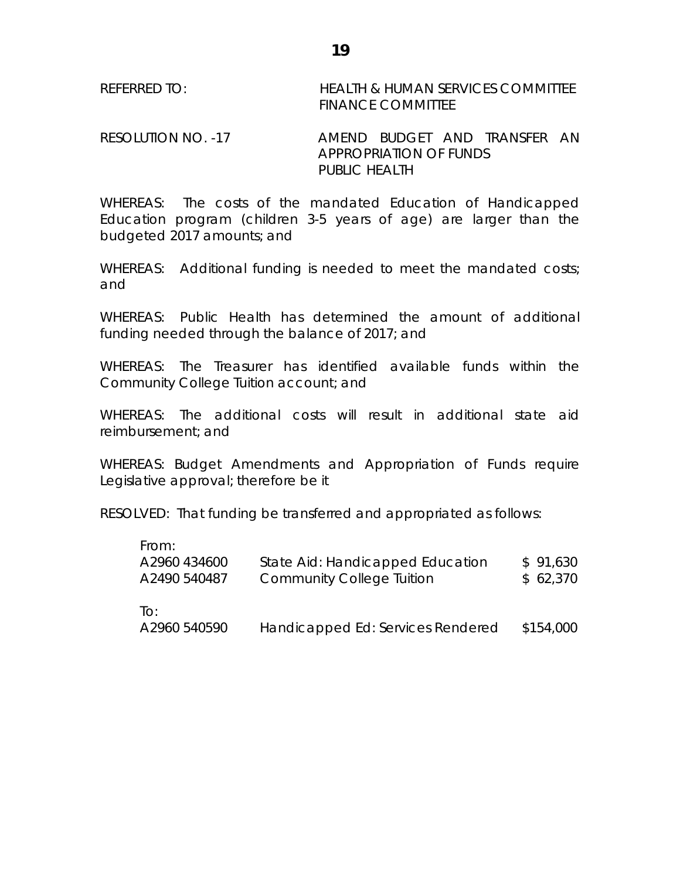| REFERRED TO: | <b>HEALTH &amp; HUMAN SERVICES COMMITTEE</b> |
|--------------|----------------------------------------------|
|              | <b>FINANCE COMMITTEE</b>                     |

RESOLUTION NO. -17 AMEND BUDGET AND TRANSFER AN APPROPRIATION OF FUNDS PUBLIC HEALTH

WHEREAS: The costs of the mandated Education of Handicapped Education program (children 3-5 years of age) are larger than the budgeted 2017 amounts; and

WHEREAS: Additional funding is needed to meet the mandated costs; and

WHEREAS: Public Health has determined the amount of additional funding needed through the balance of 2017; and

WHEREAS: The Treasurer has identified available funds within the Community College Tuition account; and

WHEREAS: The additional costs will result in additional state aid reimbursement; and

WHEREAS: Budget Amendments and Appropriation of Funds require Legislative approval; therefore be it

RESOLVED: That funding be transferred and appropriated as follows:

| State Aid: Handicapped Education | \$91,630                          |
|----------------------------------|-----------------------------------|
| <b>Community College Tuition</b> | \$62,370                          |
|                                  | \$154,000                         |
|                                  | Handicapped Ed: Services Rendered |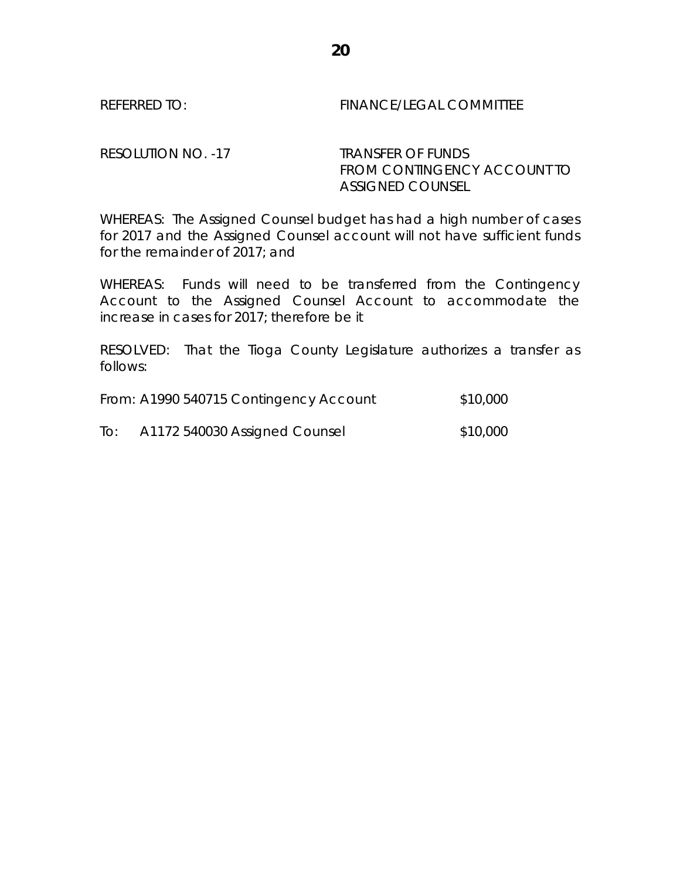REFERRED TO: FINANCE/LEGAL COMMITTEE

RESOLUTION NO. -17 TRANSFER OF FUNDS

FROM CONTINGENCY ACCOUNT TO ASSIGNED COUNSEL

WHEREAS: The Assigned Counsel budget has had a high number of cases for 2017 and the Assigned Counsel account will not have sufficient funds for the remainder of 2017; and

WHEREAS: Funds will need to be transferred from the Contingency Account to the Assigned Counsel Account to accommodate the increase in cases for 2017; therefore be it

RESOLVED: That the Tioga County Legislature authorizes a transfer as follows:

|     | From: A1990 540715 Contingency Account | \$10,000 |
|-----|----------------------------------------|----------|
| To: | A1172 540030 Assigned Counsel          | \$10,000 |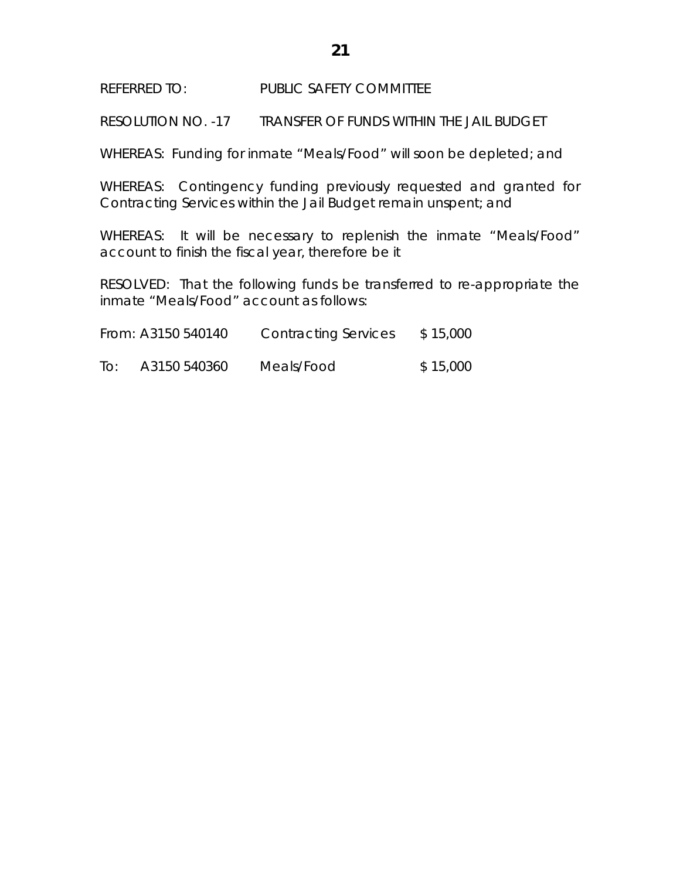REFERRED TO: PUBLIC SAFETY COMMITTEE

RESOLUTION NO. -17 TRANSFER OF FUNDS WITHIN THE JAIL BUDGET

WHEREAS: Funding for inmate "Meals/Food" will soon be depleted; and

WHEREAS: Contingency funding previously requested and granted for Contracting Services within the Jail Budget remain unspent; and

WHEREAS: It will be necessary to replenish the inmate "Meals/Food" account to finish the fiscal year, therefore be it

RESOLVED: That the following funds be transferred to re-appropriate the inmate "Meals/Food" account as follows:

| From: A3150 540140 |              | <b>Contracting Services</b> | \$15,000 |
|--------------------|--------------|-----------------------------|----------|
| To:                | A3150 540360 | Meals/Food                  | \$15,000 |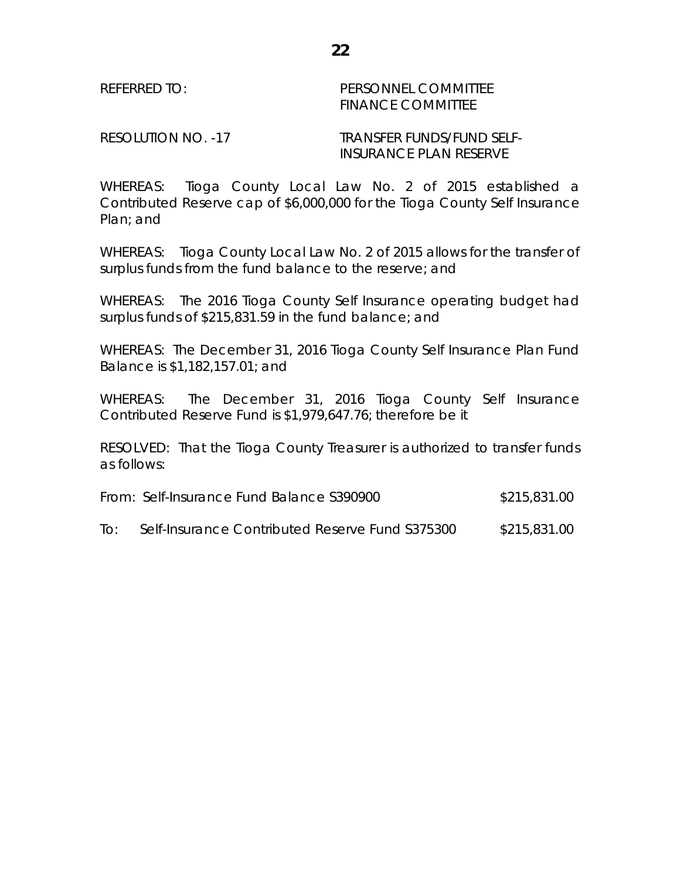## REFERRED TO: PERSONNEL COMMITTEE FINANCE COMMITTEE

RESOLUTION NO. -17 TRANSFER FUNDS/FUND SELF-INSURANCE PLAN RESERVE

WHEREAS: Tioga County Local Law No. 2 of 2015 established a Contributed Reserve cap of \$6,000,000 for the Tioga County Self Insurance Plan; and

WHEREAS: Tioga County Local Law No. 2 of 2015 allows for the transfer of surplus funds from the fund balance to the reserve; and

WHEREAS: The 2016 Tioga County Self Insurance operating budget had surplus funds of \$215,831.59 in the fund balance; and

WHEREAS: The December 31, 2016 Tioga County Self Insurance Plan Fund Balance is \$1,182,157.01; and

WHEREAS: The December 31, 2016 Tioga County Self Insurance Contributed Reserve Fund is \$1,979,647.76; therefore be it

RESOLVED: That the Tioga County Treasurer is authorized to transfer funds as follows:

| From: Self-Insurance Fund Balance S390900 | \$215,831.00 |
|-------------------------------------------|--------------|
|-------------------------------------------|--------------|

To: Self-Insurance Contributed Reserve Fund S375300 \$215,831.00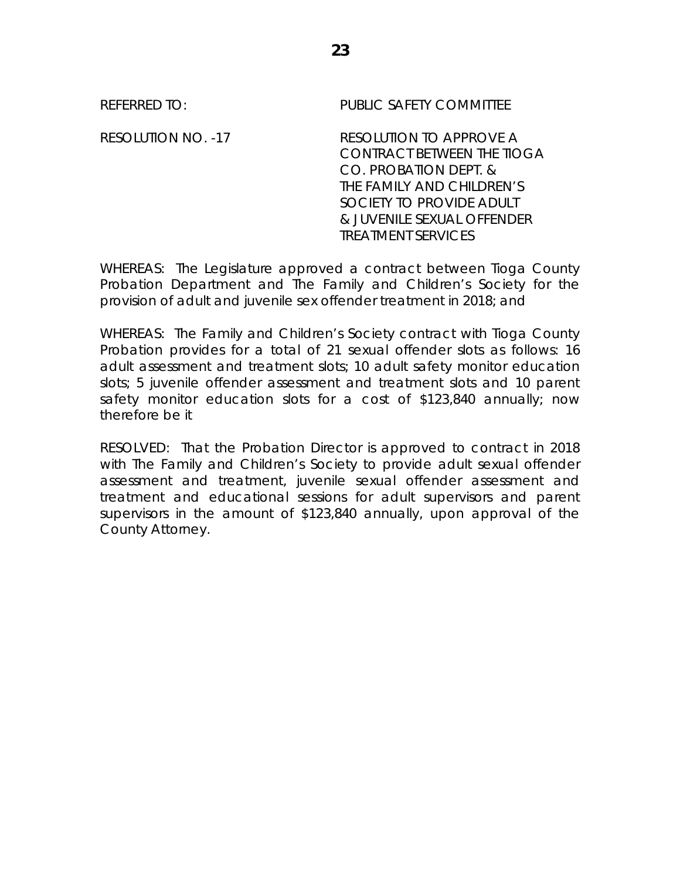| <b>REFERRED TO:</b>       | PUBLIC SAFETY COMMITTEE                                                                                                                                                                                   |
|---------------------------|-----------------------------------------------------------------------------------------------------------------------------------------------------------------------------------------------------------|
| <b>RESOLUTION NO. -17</b> | RESOLUTION TO APPROVE A<br><b>CONTRACT BETWEEN THE TIOGA</b><br>CO. PROBATION DEPT. &<br>THE FAMILY AND CHILDREN'S<br>SOCIETY TO PROVIDE ADULT<br>& JUVENILE SEXUAL OFFENDER<br><b>TREATMENT SERVICES</b> |

WHEREAS: The Legislature approved a contract between Tioga County Probation Department and The Family and Children's Society for the provision of adult and juvenile sex offender treatment in 2018; and

WHEREAS: The Family and Children's Society contract with Tioga County Probation provides for a total of 21 sexual offender slots as follows: 16 adult assessment and treatment slots; 10 adult safety monitor education slots; 5 juvenile offender assessment and treatment slots and 10 parent safety monitor education slots for a cost of \$123,840 annually; now therefore be it

RESOLVED: That the Probation Director is approved to contract in 2018 with The Family and Children's Society to provide adult sexual offender assessment and treatment, juvenile sexual offender assessment and treatment and educational sessions for adult supervisors and parent supervisors in the amount of \$123,840 annually, upon approval of the County Attorney.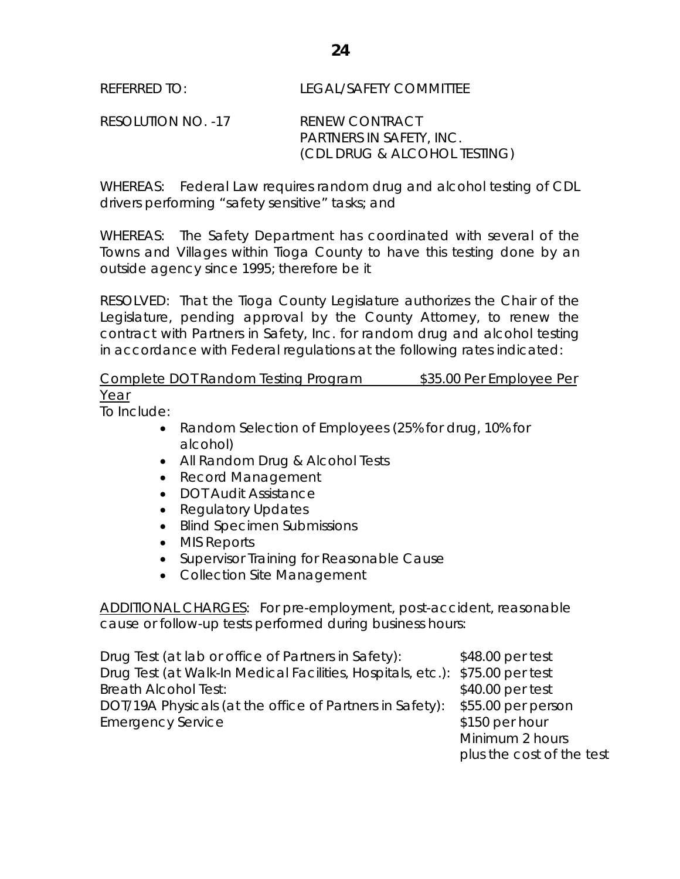RESOLUTION NO. -17 RENEW CONTRACT PARTNERS IN SAFETY, INC. (CDL DRUG & ALCOHOL TESTING)

WHEREAS: Federal Law requires random drug and alcohol testing of CDL drivers performing "safety sensitive" tasks; and

WHEREAS: The Safety Department has coordinated with several of the Towns and Villages within Tioga County to have this testing done by an outside agency since 1995; therefore be it

RESOLVED: That the Tioga County Legislature authorizes the Chair of the Legislature, pending approval by the County Attorney, to renew the contract with Partners in Safety, Inc. for random drug and alcohol testing in accordance with Federal regulations at the following rates indicated:

Complete DOT Random Testing Program \$35.00 Per Employee Per Year

To Include:

- Random Selection of Employees (25% for drug, 10% for alcohol)
- All Random Drug & Alcohol Tests
- Record Management
- DOT Audit Assistance
- Regulatory Updates
- Blind Specimen Submissions
- MIS Reports
- Supervisor Training for Reasonable Cause
- Collection Site Management

ADDITIONAL CHARGES: For pre-employment, post-accident, reasonable cause or follow-up tests performed during business hours:

Drug Test (at lab or office of Partners in Safety): \$48.00 per test Drug Test (at Walk-In Medical Facilities, Hospitals, etc.): \$75.00 per test Breath Alcohol Test:  $$40.00$  per test DOT/19A Physicals (at the office of Partners in Safety): \$55.00 per person Emergency Service **\$150 per hour** Minimum 2 hours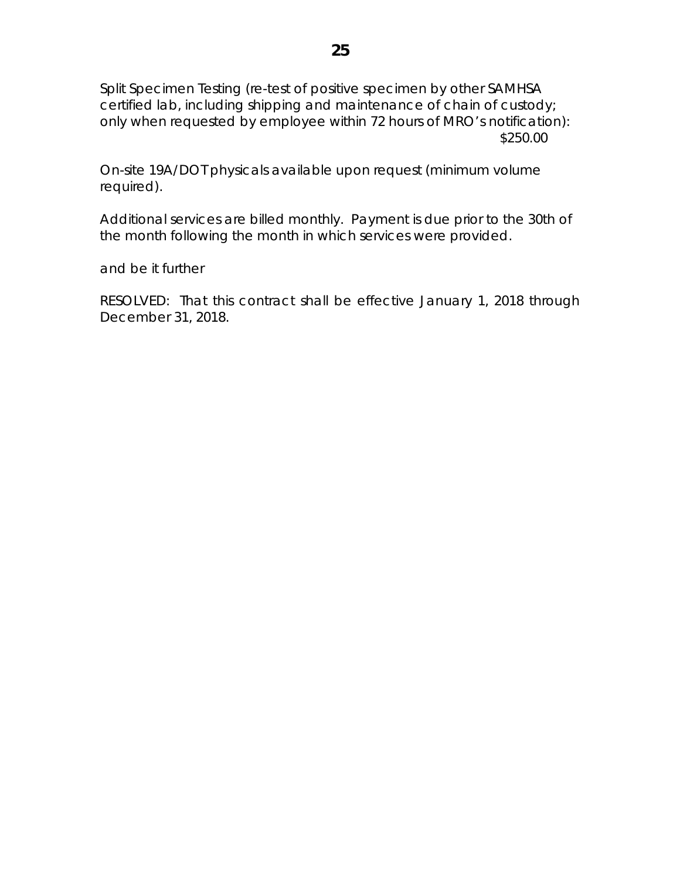Split Specimen Testing (re-test of positive specimen by other SAMHSA certified lab, including shipping and maintenance of chain of custody; only when requested by employee within 72 hours of MRO's notification): \$250.00

On-site 19A/DOT physicals available upon request (minimum volume required).

Additional services are billed monthly. Payment is due prior to the 30th of the month following the month in which services were provided.

and be it further

RESOLVED: That this contract shall be effective January 1, 2018 through December 31, 2018.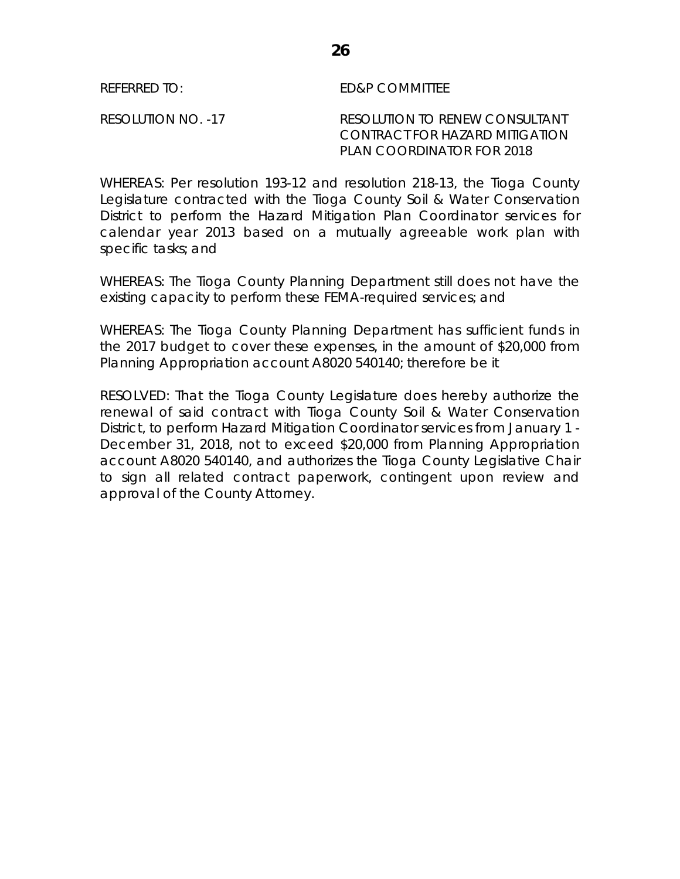REFERRED TO: ED&P COMMITTEE

RESOLUTION NO. -17 RESOLUTION TO RENEW CONSULTANT CONTRACT FOR HAZARD MITIGATION PLAN COORDINATOR FOR 2018

WHEREAS: Per resolution 193-12 and resolution 218-13, the Tioga County Legislature contracted with the Tioga County Soil & Water Conservation District to perform the Hazard Mitigation Plan Coordinator services for calendar year 2013 based on a mutually agreeable work plan with specific tasks; and

WHEREAS: The Tioga County Planning Department still does not have the existing capacity to perform these FEMA-required services; and

WHEREAS: The Tioga County Planning Department has sufficient funds in the 2017 budget to cover these expenses, in the amount of \$20,000 from Planning Appropriation account A8020 540140; therefore be it

RESOLVED: That the Tioga County Legislature does hereby authorize the renewal of said contract with Tioga County Soil & Water Conservation District, to perform Hazard Mitigation Coordinator services from January 1 - December 31, 2018, not to exceed \$20,000 from Planning Appropriation account A8020 540140, and authorizes the Tioga County Legislative Chair to sign all related contract paperwork, contingent upon review and approval of the County Attorney.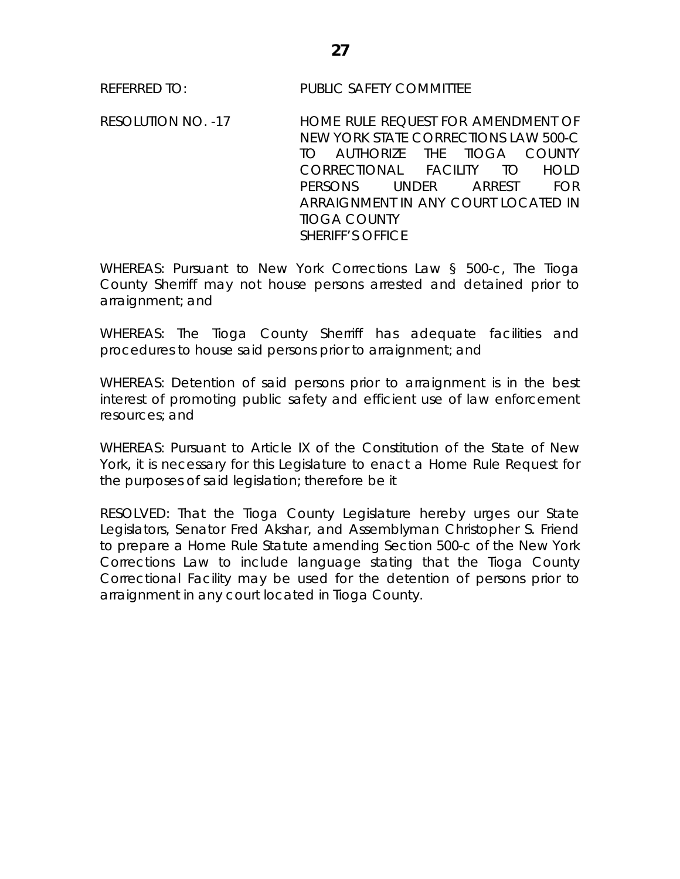REFERRED TO: PUBLIC SAFETY COMMITTEE

RESOLUTION NO. -17 HOME RULE REQUEST FOR AMENDMENT OF NEW YORK STATE CORRECTIONS LAW 500-C TO AUTHORIZE THE TIOGA COUNTY CORRECTIONAL FACILITY TO HOLD PERSONS UNDER ARREST FOR ARRAIGNMENT IN ANY COURT LOCATED IN TIOGA COUNTY SHERIFF'S OFFICE

WHEREAS: Pursuant to New York Corrections Law § 500-c, The Tioga County Sherriff may not house persons arrested and detained prior to arraignment; and

WHEREAS: The Tioga County Sherriff has adequate facilities and procedures to house said persons prior to arraignment; and

WHEREAS: Detention of said persons prior to arraignment is in the best interest of promoting public safety and efficient use of law enforcement resources; and

WHEREAS: Pursuant to Article IX of the Constitution of the State of New York, it is necessary for this Legislature to enact a Home Rule Request for the purposes of said legislation; therefore be it

RESOLVED: That the Tioga County Legislature hereby urges our State Legislators, Senator Fred Akshar, and Assemblyman Christopher S. Friend to prepare a Home Rule Statute amending Section 500-c of the New York Corrections Law to include language stating that the Tioga County Correctional Facility may be used for the detention of persons prior to arraignment in any court located in Tioga County.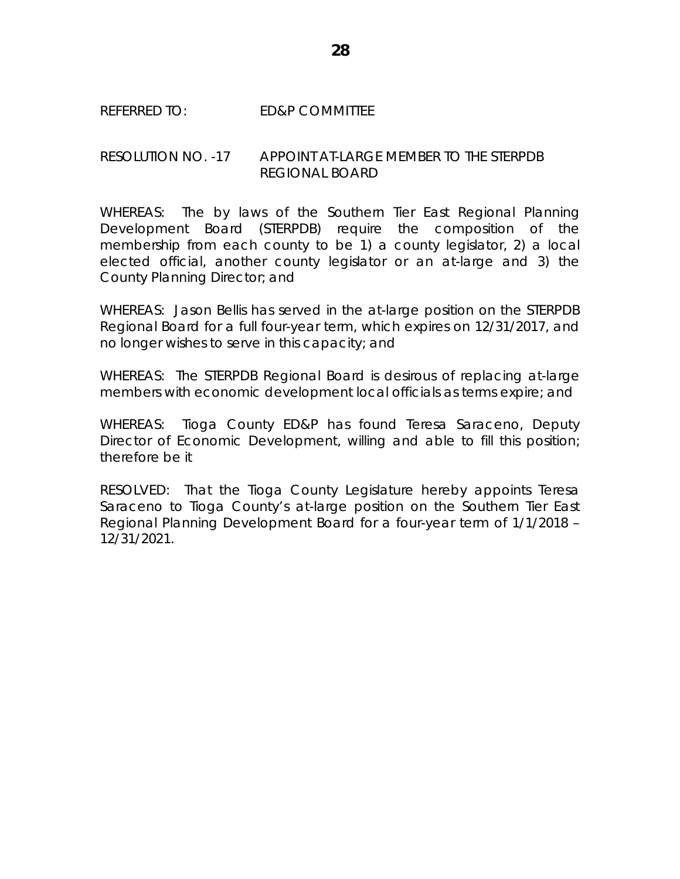## REFERRED TO: ED&P COMMITTEE

# RESOLUTION NO. -17 APPOINT AT-LARGE MEMBER TO THE STERPDB REGIONAL BOARD

WHEREAS: The by laws of the Southern Tier East Regional Planning Development Board (STERPDB) require the composition of the membership from each county to be 1) a county legislator, 2) a local elected official, another county legislator or an at-large and 3) the County Planning Director; and

WHEREAS: Jason Bellis has served in the at-large position on the STERPDB Regional Board for a full four-year term, which expires on 12/31/2017, and no longer wishes to serve in this capacity; and

WHEREAS: The STERPDB Regional Board is desirous of replacing at-large members with economic development local officials as terms expire; and

WHEREAS: Tioga County ED&P has found Teresa Saraceno, Deputy Director of Economic Development, willing and able to fill this position; therefore be it

RESOLVED: That the Tioga County Legislature hereby appoints Teresa Saraceno to Tioga County's at-large position on the Southern Tier East Regional Planning Development Board for a four-year term of 1/1/2018 – 12/31/2021.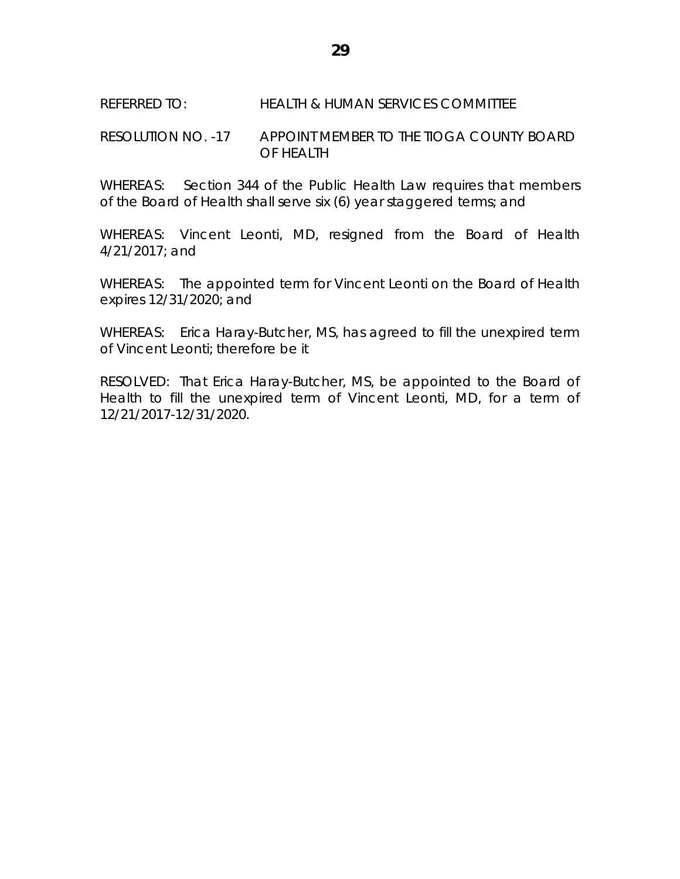### REFERRED TO: HEALTH & HUMAN SERVICES COMMITTEE

## RESOLUTION NO. -17 APPOINT MEMBER TO THE TIOGA COUNTY BOARD OF HEALTH

WHEREAS: Section 344 of the Public Health Law requires that members of the Board of Health shall serve six (6) year staggered terms; and

WHEREAS: Vincent Leonti, MD, resigned from the Board of Health 4/21/2017; and

WHEREAS: The appointed term for Vincent Leonti on the Board of Health expires 12/31/2020; and

WHEREAS: Erica Haray-Butcher, MS, has agreed to fill the unexpired term of Vincent Leonti; therefore be it

RESOLVED: That Erica Haray-Butcher, MS, be appointed to the Board of Health to fill the unexpired term of Vincent Leonti, MD, for a term of 12/21/2017-12/31/2020.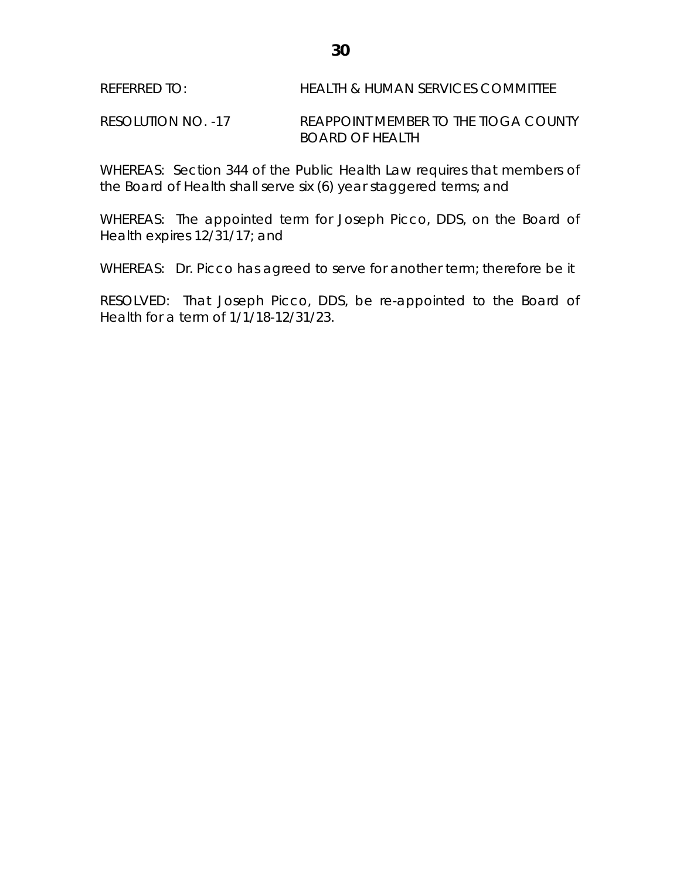RESOLUTION NO. -17 REAPPOINT MEMBER TO THE TIOGA COUNTY BOARD OF HEALTH

WHEREAS: Section 344 of the Public Health Law requires that members of the Board of Health shall serve six (6) year staggered terms; and

WHEREAS: The appointed term for Joseph Picco, DDS, on the Board of Health expires 12/31/17; and

WHEREAS: Dr. Picco has agreed to serve for another term; therefore be it

RESOLVED: That Joseph Picco, DDS, be re-appointed to the Board of Health for a term of 1/1/18-12/31/23.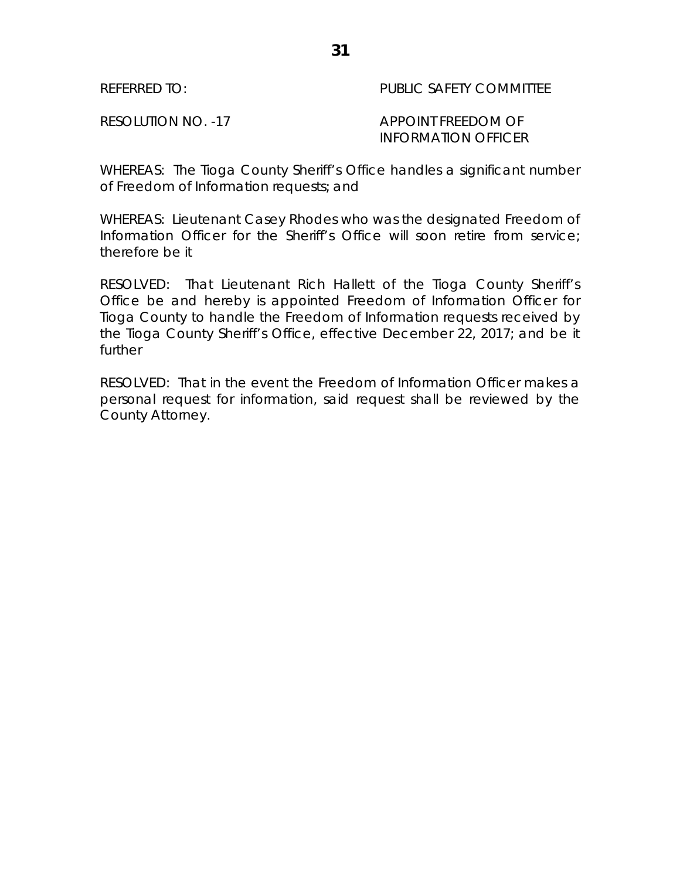REFERRED TO: PUBLIC SAFETY COMMITTEE

# RESOLUTION NO. -17 APPOINT FREEDOM OF INFORMATION OFFICER

WHEREAS: The Tioga County Sheriff's Office handles a significant number of Freedom of Information requests; and

WHEREAS: Lieutenant Casey Rhodes who was the designated Freedom of Information Officer for the Sheriff's Office will soon retire from service; therefore be it

RESOLVED: That Lieutenant Rich Hallett of the Tioga County Sheriff's Office be and hereby is appointed Freedom of Information Officer for Tioga County to handle the Freedom of Information requests received by the Tioga County Sheriff's Office, effective December 22, 2017; and be it further

RESOLVED: That in the event the Freedom of Information Officer makes a personal request for information, said request shall be reviewed by the County Attorney.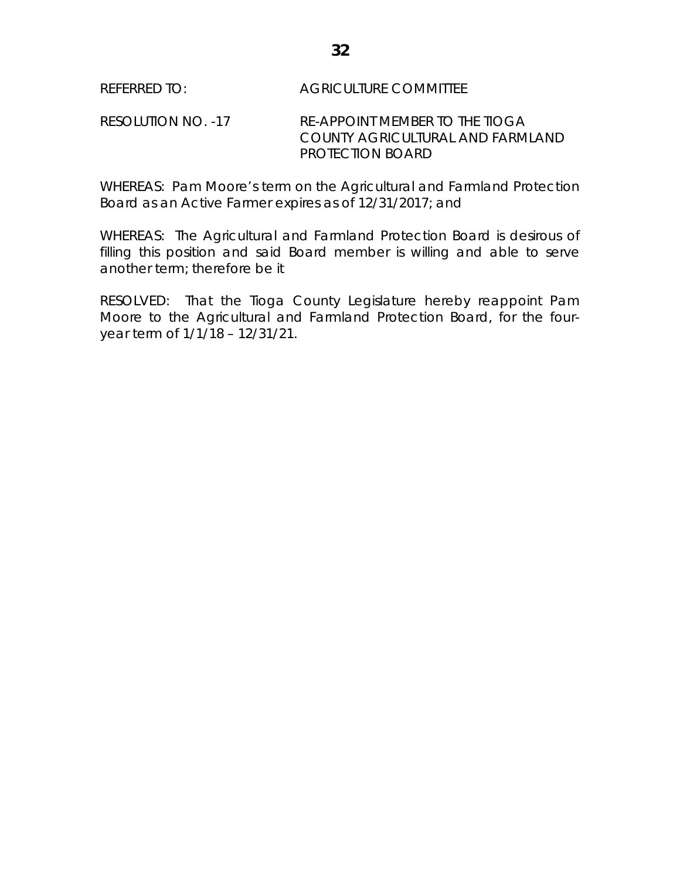RESOLUTION NO. -17 RE-APPOINT MEMBER TO THE TIOGA COUNTY AGRICULTURAL AND FARMLAND PROTECTION BOARD

WHEREAS: Pam Moore's term on the Agricultural and Farmland Protection Board as an Active Farmer expires as of 12/31/2017; and

WHEREAS: The Agricultural and Farmland Protection Board is desirous of filling this position and said Board member is willing and able to serve another term; therefore be it

RESOLVED: That the Tioga County Legislature hereby reappoint Pam Moore to the Agricultural and Farmland Protection Board, for the fouryear term of 1/1/18 – 12/31/21.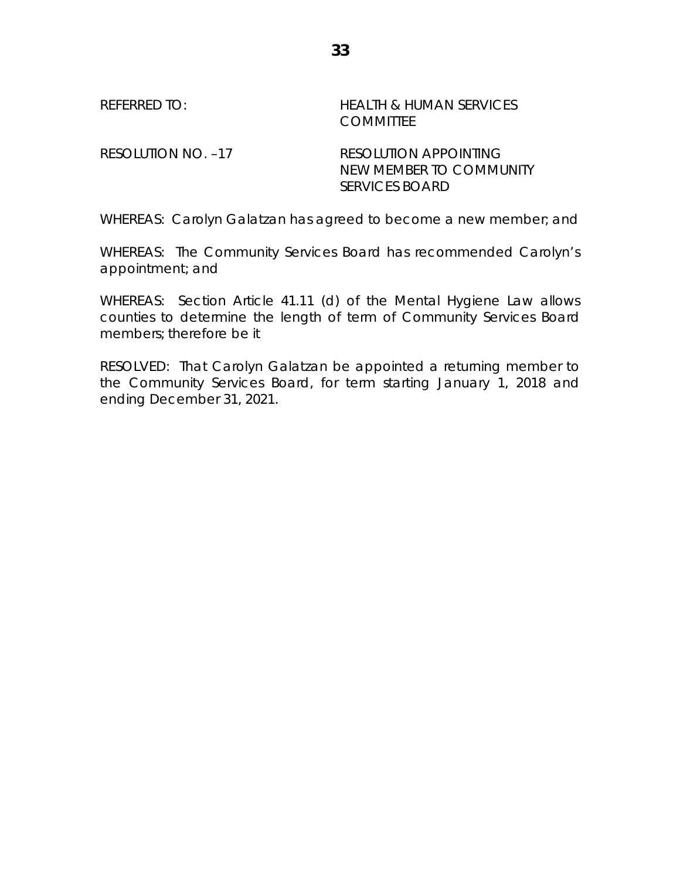REFERRED TO: HEALTH & HUMAN SERVICES **COMMITTEE** 

RESOLUTION NO. -17 RESOLUTION APPOINTING NEW MEMBER TO COMMUNITY SERVICES BOARD

WHEREAS: Carolyn Galatzan has agreed to become a new member; and

WHEREAS: The Community Services Board has recommended Carolyn's appointment; and

WHEREAS: Section Article 41.11 (d) of the Mental Hygiene Law allows counties to determine the length of term of Community Services Board members; therefore be it

RESOLVED: That Carolyn Galatzan be appointed a returning member to the Community Services Board, for term starting January 1, 2018 and ending December 31, 2021.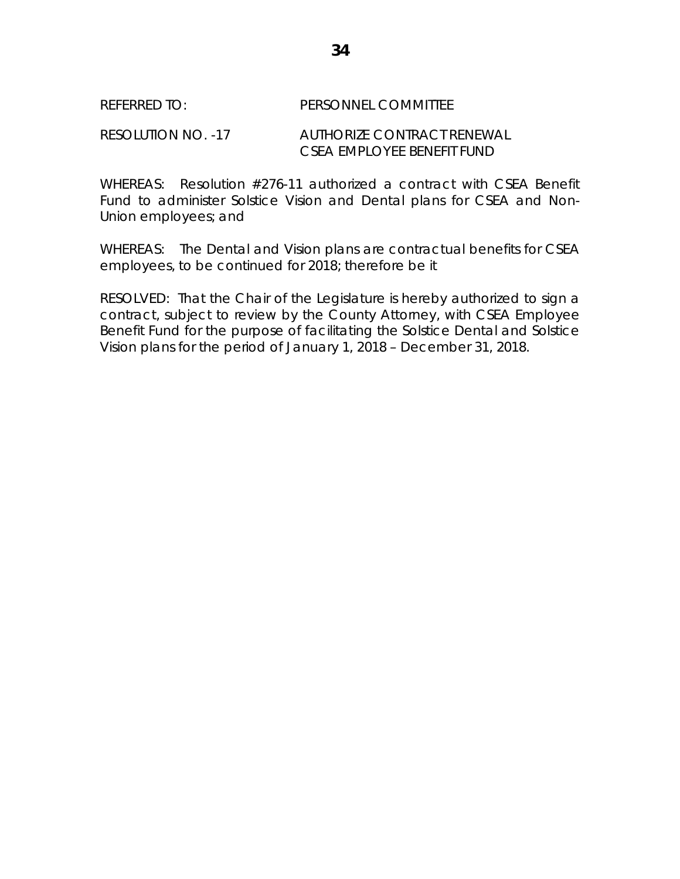## REFERRED TO: PERSONNEL COMMITTEE

RESOLUTION NO. -17 AUTHORIZE CONTRACT RENEWAL CSEA EMPLOYEE BENEFIT FUND

WHEREAS: Resolution #276-11 authorized a contract with CSEA Benefit Fund to administer Solstice Vision and Dental plans for CSEA and Non-Union employees; and

WHEREAS: The Dental and Vision plans are contractual benefits for CSEA employees, to be continued for 2018; therefore be it

RESOLVED: That the Chair of the Legislature is hereby authorized to sign a contract, subject to review by the County Attorney, with CSEA Employee Benefit Fund for the purpose of facilitating the Solstice Dental and Solstice Vision plans for the period of January 1, 2018 – December 31, 2018.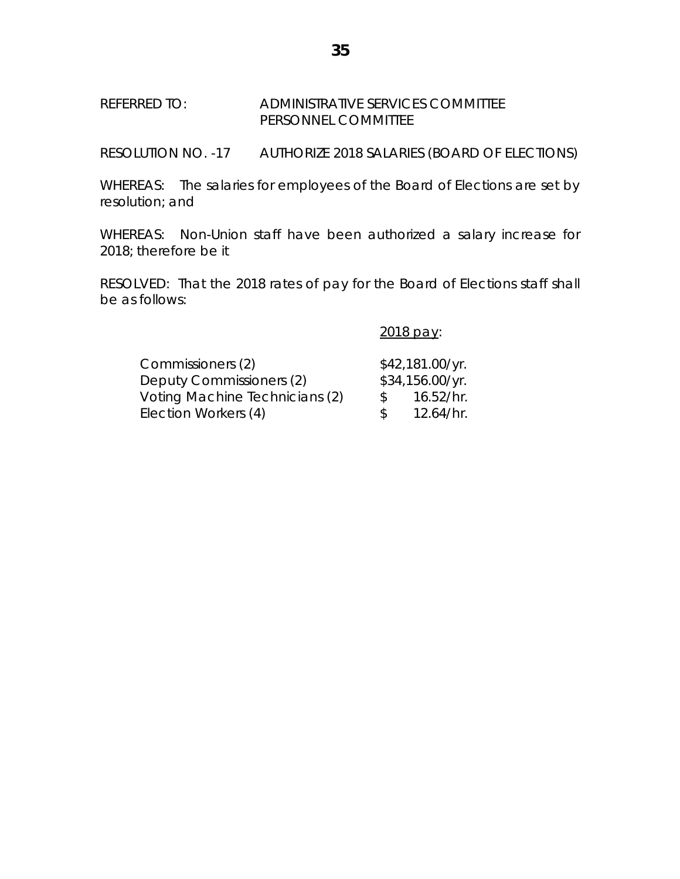## REFERRED TO: ADMINISTRATIVE SERVICES COMMITTEE PERSONNEL COMMITTEE

RESOLUTION NO. -17 AUTHORIZE 2018 SALARIES (BOARD OF ELECTIONS)

WHEREAS: The salaries for employees of the Board of Elections are set by resolution; and

WHEREAS: Non-Union staff have been authorized a salary increase for 2018; therefore be it

RESOLVED: That the 2018 rates of pay for the Board of Elections staff shall be as follows:

2018 pay:

| Commissioners (2)              |               | \$42,181.00/yr. |
|--------------------------------|---------------|-----------------|
| Deputy Commissioners (2)       |               | \$34,156.00/yr. |
| Voting Machine Technicians (2) | - S           | 16.52/hr.       |
| Election Workers (4)           | $\mathcal{L}$ | 12.64/hr.       |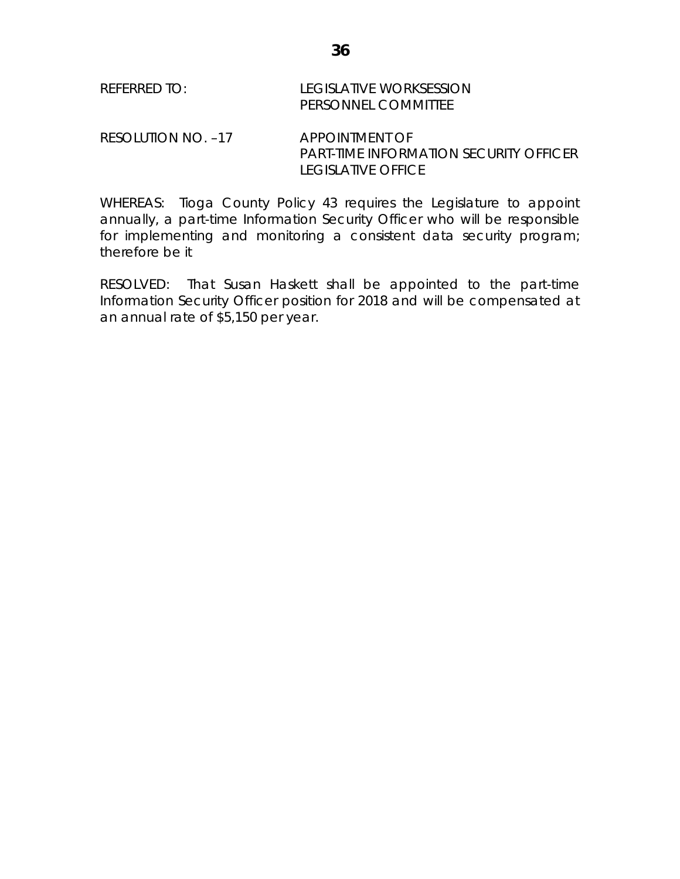| <b>REFERRED TO:</b> | LEGISLATIVE WORKSESSION |
|---------------------|-------------------------|
|                     | PERSONNEL COMMITTEE     |

RESOLUTION NO. -17 APPOINTMENT OF PART-TIME INFORMATION SECURITY OFFICER LEGISLATIVE OFFICE

WHEREAS: Tioga County Policy 43 requires the Legislature to appoint annually, a part-time Information Security Officer who will be responsible for implementing and monitoring a consistent data security program; therefore be it

RESOLVED: That Susan Haskett shall be appointed to the part-time Information Security Officer position for 2018 and will be compensated at an annual rate of \$5,150 per year.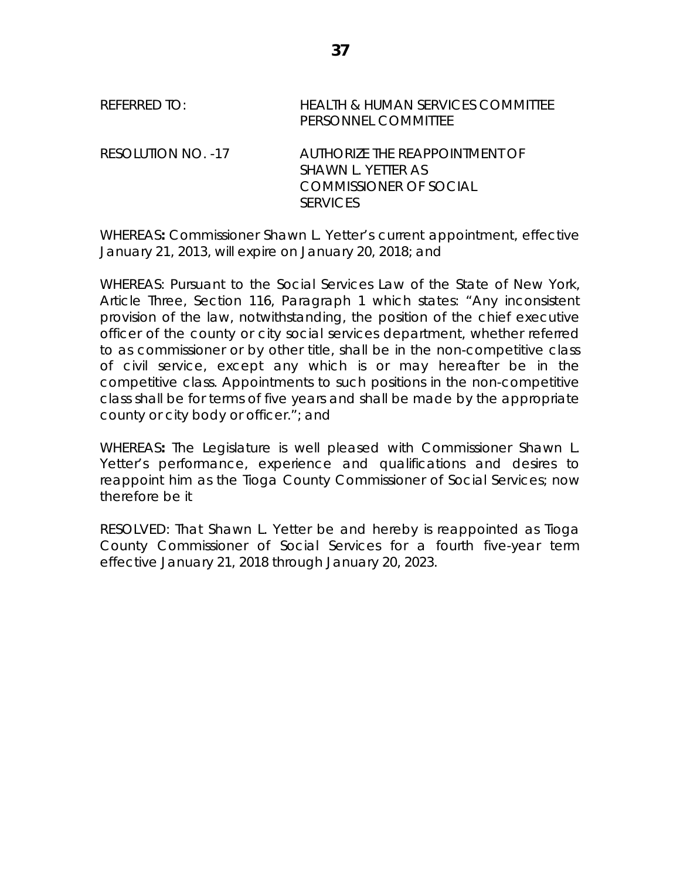| REFERRED TO:       | HEALTH & HUMAN SERVICES COMMITTEE<br>PERSONNEL COMMITTEE                                          |
|--------------------|---------------------------------------------------------------------------------------------------|
| RESOLUTION NO. -17 | AUTHORIZE THE REAPPOINTMENT OF<br>SHAWN L. YETTER AS<br>COMMISSIONER OF SOCIAL<br><b>SERVICES</b> |

WHEREAS**:** Commissioner Shawn L. Yetter's current appointment, effective January 21, 2013, will expire on January 20, 2018; and

WHEREAS: Pursuant to the Social Services Law of the State of New York, Article Three, Section 116, Paragraph 1 which states: "Any inconsistent provision of the law, notwithstanding, the position of the chief executive officer of the county or city social services department, whether referred to as commissioner or by other title, shall be in the non-competitive class of civil service, except any which is or may hereafter be in the competitive class. Appointments to such positions in the non-competitive class shall be for terms of five years and shall be made by the appropriate county or city body or officer."; and

WHEREAS**:** The Legislature is well pleased with Commissioner Shawn L. Yetter's performance, experience and qualifications and desires to reappoint him as the Tioga County Commissioner of Social Services; now therefore be it

RESOLVED: That Shawn L. Yetter be and hereby is reappointed as Tioga County Commissioner of Social Services for a fourth five-year term effective January 21, 2018 through January 20, 2023.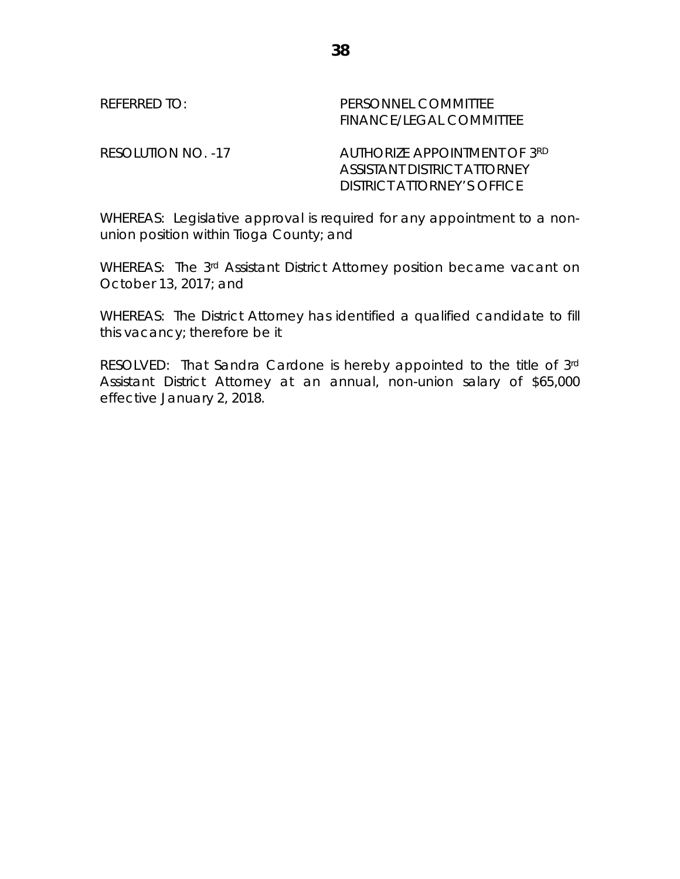| RFFERRIU (         | PERSONNEL COMMITTEE<br>FINANCE/LEGAL COMMITTEE                     |
|--------------------|--------------------------------------------------------------------|
| RESOLUTION NO. -17 | <b>AUTHORIZE APPOINTMENT OF 3RD</b><br>ASSISTANT DISTRICT ATTORNEY |

WHEREAS: Legislative approval is required for any appointment to a nonunion position within Tioga County; and

DISTRICT ATTORNEY'S OFFICE

WHEREAS: The 3rd Assistant District Attorney position became vacant on October 13, 2017; and

WHEREAS: The District Attorney has identified a qualified candidate to fill this vacancy; therefore be it

RESOLVED: That Sandra Cardone is hereby appointed to the title of 3rd Assistant District Attorney at an annual, non-union salary of \$65,000 effective January 2, 2018.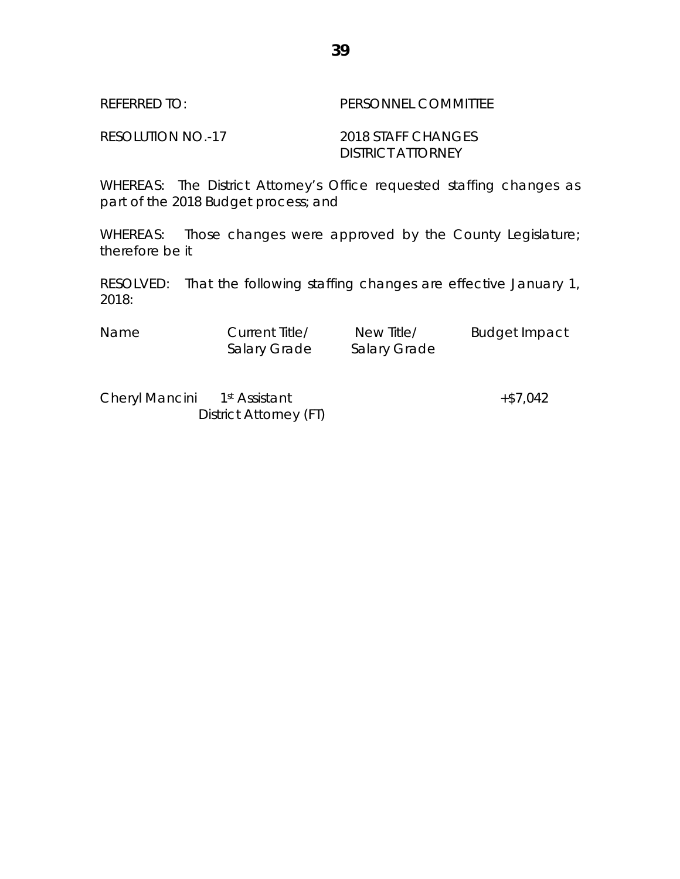## RESOLUTION NO.-17 2018 STAFF CHANGES DISTRICT ATTORNEY

WHEREAS: The District Attorney's Office requested staffing changes as part of the 2018 Budget process; and

WHEREAS: Those changes were approved by the County Legislature; therefore be it

RESOLVED: That the following staffing changes are effective January 1, 2018:

| <b>Name</b> | Current Title/ | New Title/   | <b>Budget Impact</b> |
|-------------|----------------|--------------|----------------------|
|             | Salary Grade   | Salary Grade |                      |

Cheryl Mancini 1<sup>st</sup> Assistant +\$7,042 District Attorney (FT)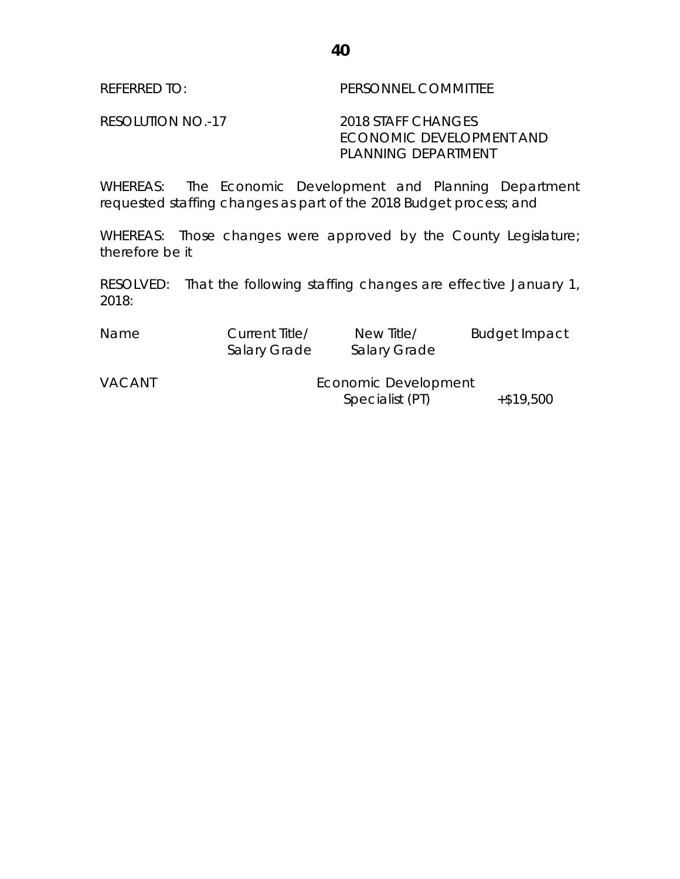REFERRED TO: PERSONNEL COMMITTEE

RESOLUTION NO.-17 2018 STAFF CHANGES ECONOMIC DEVELOPMENT AND PLANNING DEPARTMENT

WHEREAS: The Economic Development and Planning Department requested staffing changes as part of the 2018 Budget process; and

WHEREAS: Those changes were approved by the County Legislature; therefore be it

RESOLVED: That the following staffing changes are effective January 1, 2018:

| Name | Current Title/ | New Title/          | <b>Budget Impact</b> |
|------|----------------|---------------------|----------------------|
|      | Salary Grade   | <b>Salary Grade</b> |                      |

VACANT **Economic Development** Specialist  $(PI)$   $+ $19,500$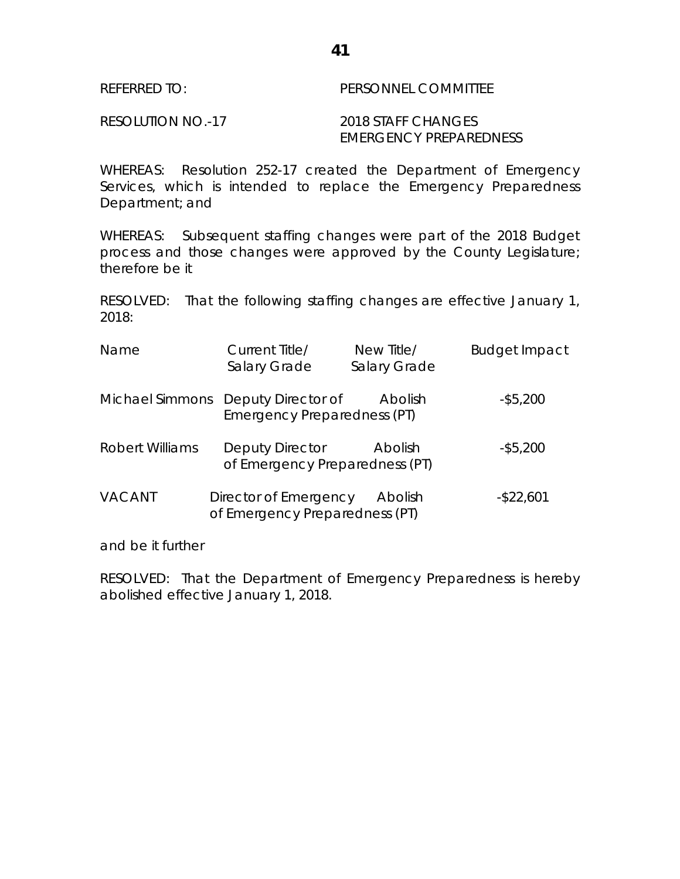RESOLUTION NO.-17 2018 STAFF CHANGES EMERGENCY PREPAREDNESS

WHEREAS: Resolution 252-17 created the Department of Emergency Services, which is intended to replace the Emergency Preparedness Department; and

WHEREAS: Subsequent staffing changes were part of the 2018 Budget process and those changes were approved by the County Legislature; therefore be it

RESOLVED: That the following staffing changes are effective January 1, 2018:

| Name                   | Current Title/<br>Salary Grade                                    | New Title/<br>Salary Grade | <b>Budget Impact</b> |
|------------------------|-------------------------------------------------------------------|----------------------------|----------------------|
|                        | Michael Simmons Deputy Director of<br>Emergency Preparedness (PT) | Abolish                    | $-$ \$5,200          |
| <b>Robert Williams</b> | Deputy Director<br>of Emergency Preparedness (PT)                 | Abolish                    | $-$ \$5,200          |
| <b>VACANT</b>          | Director of Emergency<br>of Emergency Preparedness (PT)           | Abolish                    | $-$ \$22,601         |

and be it further

RESOLVED: That the Department of Emergency Preparedness is hereby abolished effective January 1, 2018.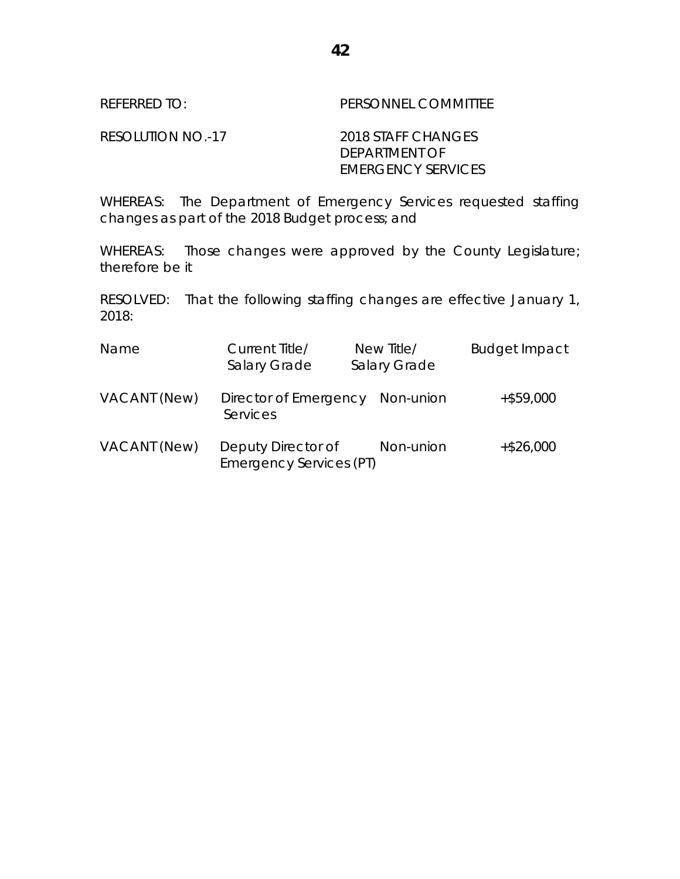RESOLUTION NO.-17 2018 STAFF CHANGES DEPARTMENT OF EMERGENCY SERVICES

WHEREAS: The Department of Emergency Services requested staffing changes as part of the 2018 Budget process; and

WHEREAS: Those changes were approved by the County Legislature; therefore be it

| Name         | Current Title/<br>Salary Grade                       | New Title/<br>Salary Grade | <b>Budget Impact</b> |
|--------------|------------------------------------------------------|----------------------------|----------------------|
| VACANT (New) | Director of Emergency<br>Services                    | Non-union                  | $+$ \$59,000         |
| VACANT (New) | Deputy Director of<br><b>Emergency Services (PT)</b> | Non-union                  | $+$ \$26,000         |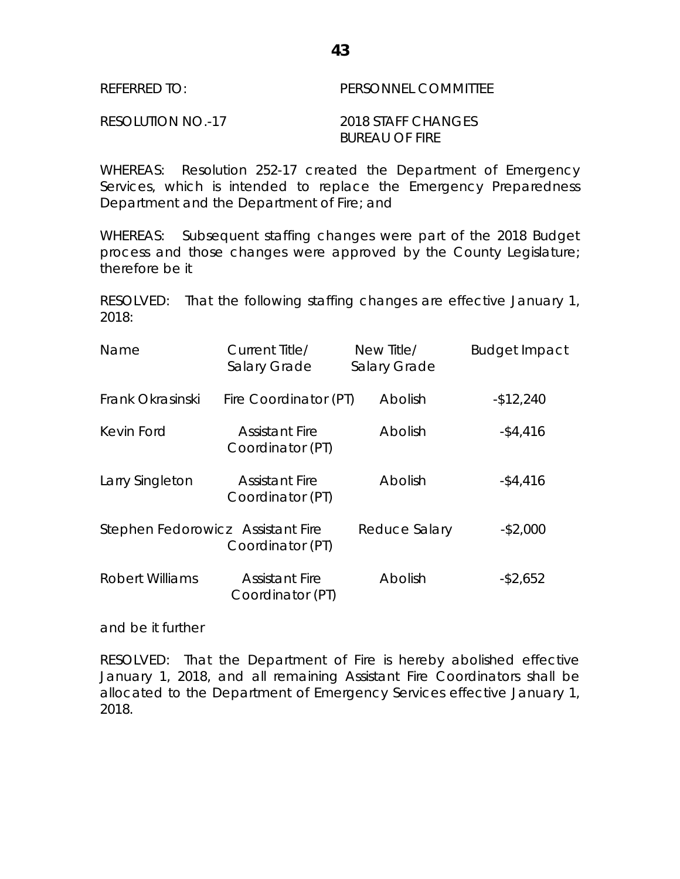| REFERRED TO:      | PERSONNEL COMMITTEE |
|-------------------|---------------------|
| RESOLUTION NO.-17 | 2018 STAFF CHANGES  |
|                   | BUREAU OF FIRE      |

WHEREAS: Resolution 252-17 created the Department of Emergency Services, which is intended to replace the Emergency Preparedness Department and the Department of Fire; and

WHEREAS: Subsequent staffing changes were part of the 2018 Budget process and those changes were approved by the County Legislature; therefore be it

RESOLVED: That the following staffing changes are effective January 1, 2018:

| Name                              | Current Title/<br>Salary Grade            | New Title/<br>Salary Grade | <b>Budget Impact</b> |
|-----------------------------------|-------------------------------------------|----------------------------|----------------------|
| Frank Okrasinski                  | Fire Coordinator (PT)                     | Abolish                    | $-$12,240$           |
| Kevin Ford                        | <b>Assistant Fire</b><br>Coordinator (PT) | Abolish                    | $-$ \$4,416          |
| Larry Singleton                   | <b>Assistant Fire</b><br>Coordinator (PT) | Abolish                    | $-$ \$4,416          |
| Stephen Fedorowicz Assistant Fire | Coordinator (PT)                          | Reduce Salary              | $-$ \$2,000          |
| <b>Robert Williams</b>            | <b>Assistant Fire</b><br>Coordinator (PT) | Abolish                    | $-$ \$2,652          |

and be it further

RESOLVED: That the Department of Fire is hereby abolished effective January 1, 2018, and all remaining Assistant Fire Coordinators shall be allocated to the Department of Emergency Services effective January 1, 2018.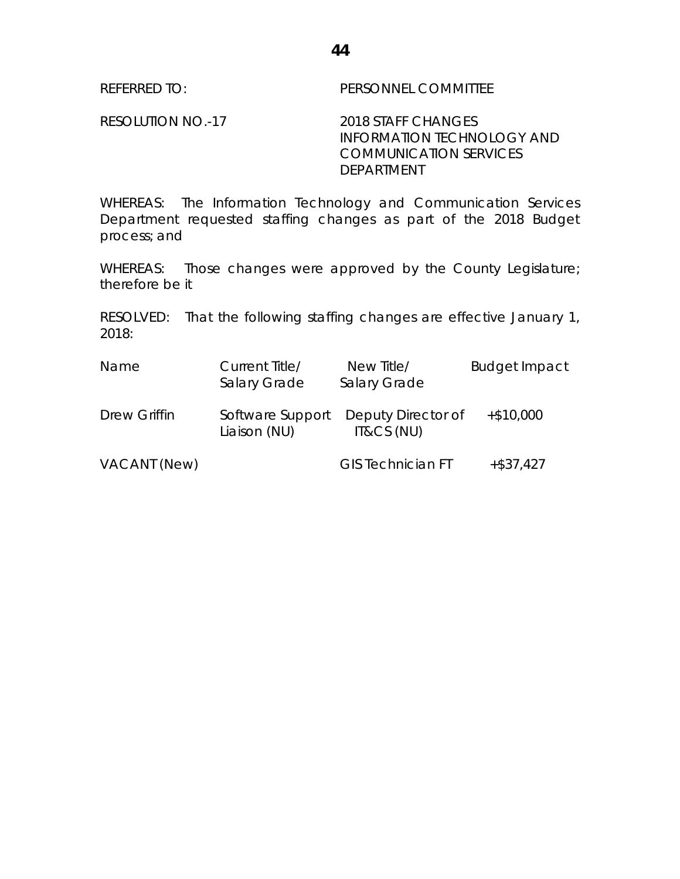REFERRED TO: PERSONNEL COMMITTEE

RESOLUTION NO.-17 2018 STAFF CHANGES INFORMATION TECHNOLOGY AND COMMUNICATION SERVICES DEPARTMENT

WHEREAS: The Information Technology and Communication Services Department requested staffing changes as part of the 2018 Budget process; and

WHEREAS: Those changes were approved by the County Legislature; therefore be it

| Name         | Current Title/<br>Salary Grade   | New Title/<br>Salary Grade       | <b>Budget Impact</b> |
|--------------|----------------------------------|----------------------------------|----------------------|
| Drew Griffin | Software Support<br>Liaison (NU) | Deputy Director of<br>IT&CS (NU) | $+$ \$10,000         |
| VACANT (New) |                                  | <b>GIS Technician FT</b>         | $+$ \$37,427         |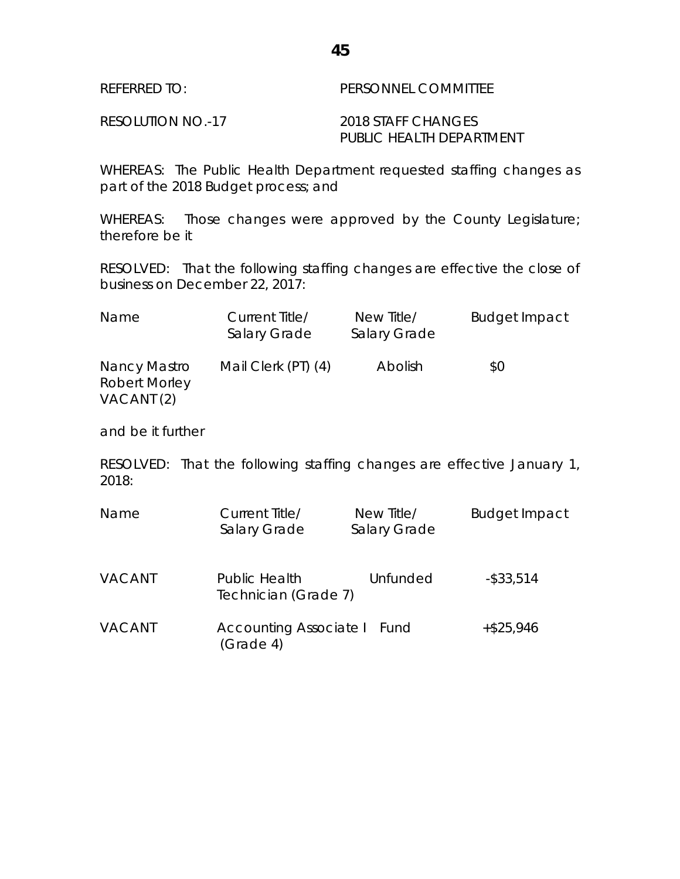WHEREAS: The Public Health Department requested staffing changes as part of the 2018 Budget process; and

WHEREAS: Those changes were approved by the County Legislature; therefore be it

RESOLVED: That the following staffing changes are effective the close of business on December 22, 2017:

| <b>Name</b>                                        | Current Title/<br>Salary Grade | New Title/<br>Salary Grade | <b>Budget Impact</b> |
|----------------------------------------------------|--------------------------------|----------------------------|----------------------|
| Nancy Mastro<br><b>Robert Morley</b><br>VACANT (2) | Mail Clerk (PT) (4)            | Abolish                    | \$0                  |

and be it further

| Name          | Current Title/<br>Salary Grade               | New Title/<br>Salary Grade | <b>Budget Impact</b> |
|---------------|----------------------------------------------|----------------------------|----------------------|
| <b>VACANT</b> | <b>Public Health</b><br>Technician (Grade 7) | Unfunded                   | $-$ \$33,514         |
| <b>VACANT</b> | <b>Accounting Associate I</b><br>(Grade 4)   | Fund                       | $+ $25,946$          |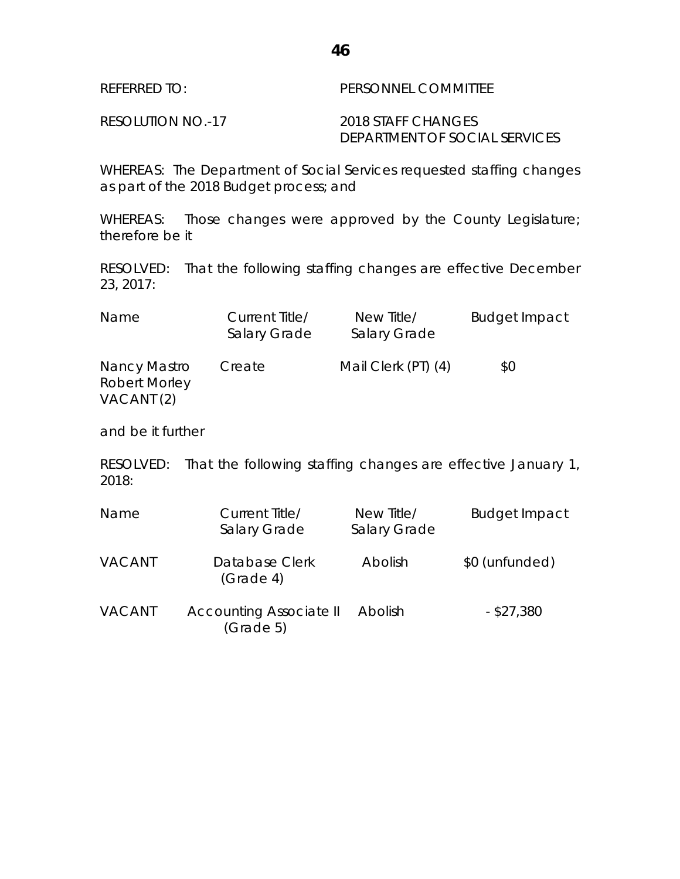WHEREAS: The Department of Social Services requested staffing changes as part of the 2018 Budget process; and

WHEREAS: Those changes were approved by the County Legislature; therefore be it

RESOLVED: That the following staffing changes are effective December 23, 2017:

| <b>Name</b>                                                   | Current Title/<br>Salary Grade | New Title/<br>Salary Grade | <b>Budget Impact</b> |
|---------------------------------------------------------------|--------------------------------|----------------------------|----------------------|
| Nancy Mastro<br><b>Robert Morley</b><br>VACANT <sub>(2)</sub> | Create                         | Mail Clerk (PT) (4)        | \$0                  |

and be it further

| Name          | Current Title/<br>Salary Grade                   | New Title/<br>Salary Grade | <b>Budget Impact</b> |
|---------------|--------------------------------------------------|----------------------------|----------------------|
| <b>VACANT</b> | Database Clerk<br>(Grade <sub>4</sub> )          | Abolish                    | \$0 (unfunded)       |
| <b>VACANT</b> | Accounting Associate II<br>(Grade <sub>5</sub> ) | Abolish                    | $-$ \$27,380         |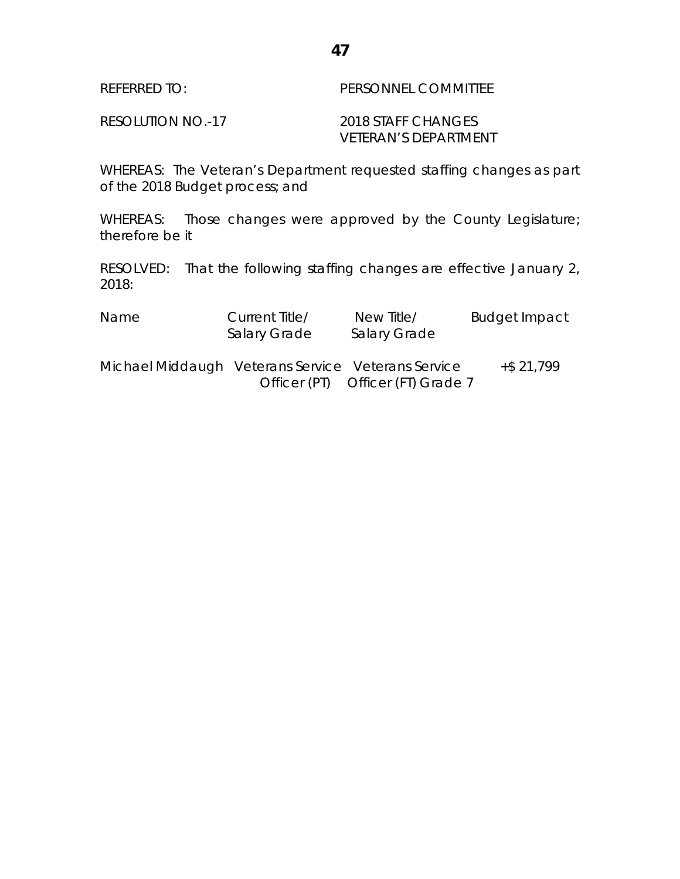| REFERRED TO:      | <b>PERSONNEL COMMITTEE</b> |
|-------------------|----------------------------|
| RESOLUTION NO.-17 | 2018 STAFF CHANGES         |

VETERAN'S DEPARTMENT

WHEREAS: The Veteran's Department requested staffing changes as part of the 2018 Budget process; and

WHEREAS: Those changes were approved by the County Legislature; therefore be it

| Name                                               | Current Title/<br><b>Salary Grade</b> | New Title/<br><b>Salary Grade</b> | <b>Budget Impact</b> |
|----------------------------------------------------|---------------------------------------|-----------------------------------|----------------------|
| Michael Middaugh Veterans Service Veterans Service |                                       | Officer (PT) Officer (FT) Grade 7 | $+$ \$21,799         |